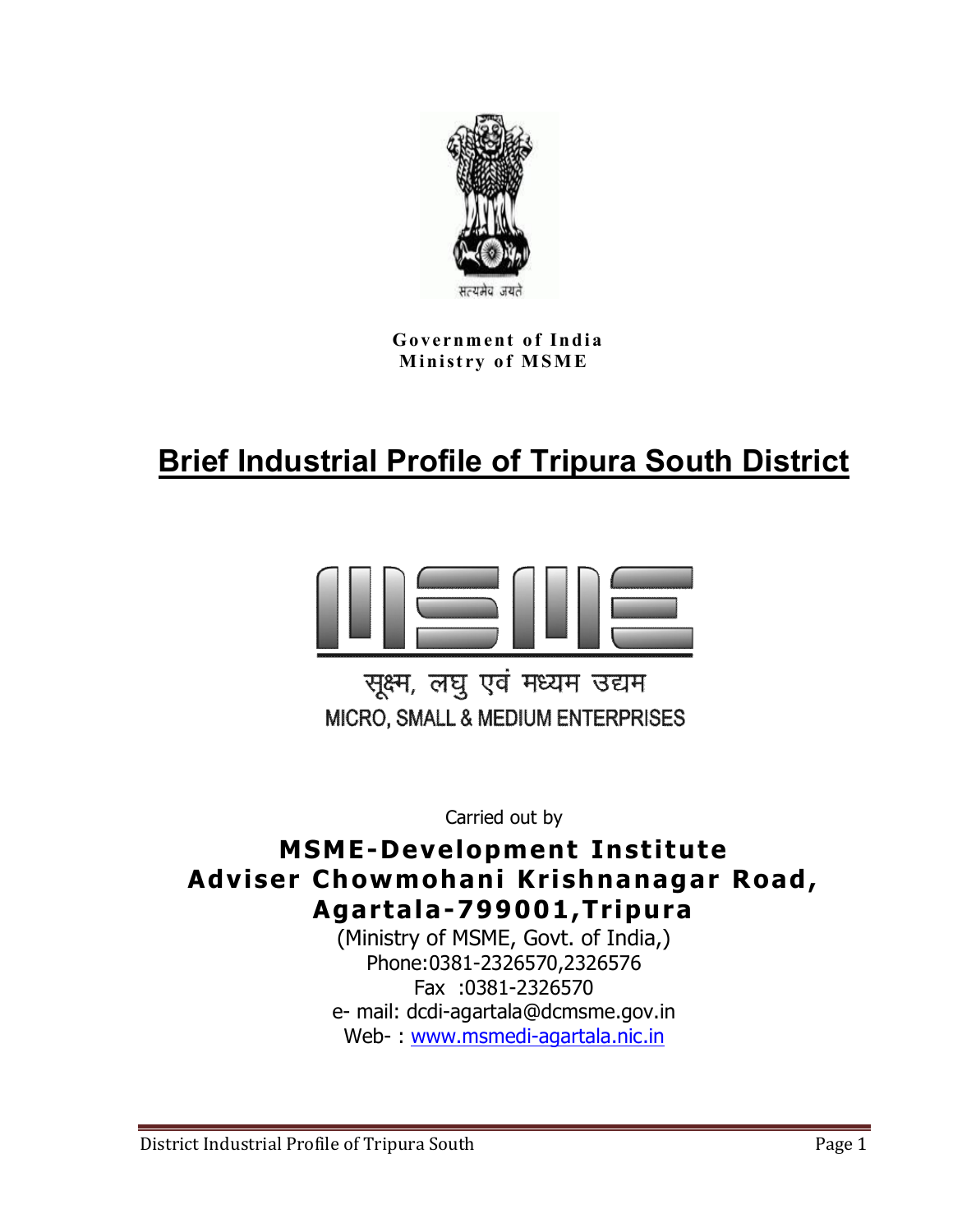

**Government of India Ministry of MSME** 

# **Brief Industrial Profile of Tripura South District**



सूक्ष्म, लघु एवं मध्यम उद्यम MICRO, SMALL & MEDIUM ENTERPRISES

Carried out by

# **MSME-Development Institute Adviser Chowmohani Krishnanagar Road, Agartala-799001,Tripura**

(Ministry of MSME, Govt. of India,) Phone:0381-2326570,2326576 Fax :0381-2326570 e- mail: dcdi-agartala@dcmsme.gov.in Web- : www.msmedi-agartala.nic.in

District Industrial Profile of Tripura South **Page 1** Page 1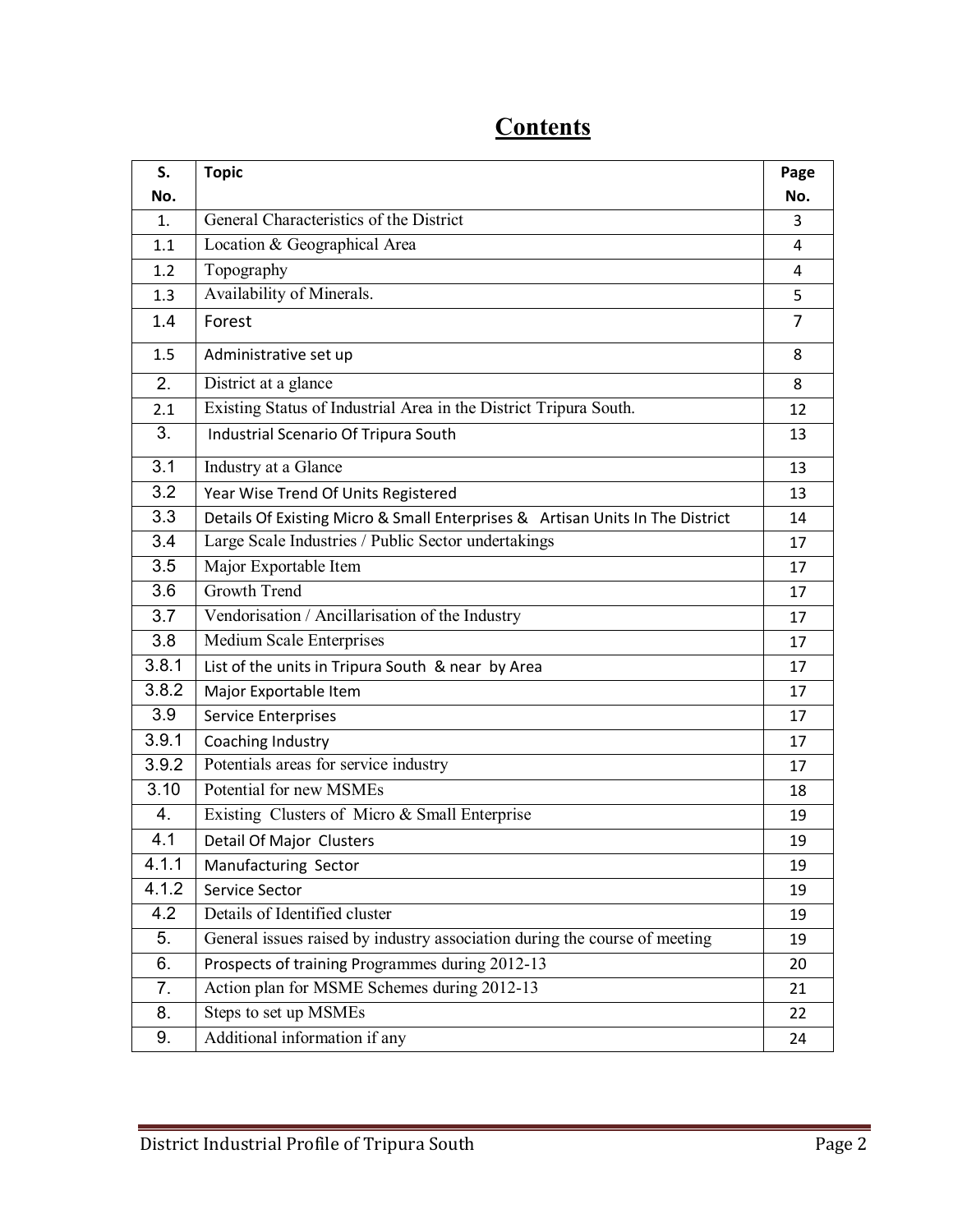| S.    | <b>Topic</b>                                                                  | Page           |
|-------|-------------------------------------------------------------------------------|----------------|
| No.   |                                                                               | No.            |
| 1.    | General Characteristics of the District                                       | 3              |
| 1.1   | Location & Geographical Area                                                  | $\overline{4}$ |
| 1.2   | Topography                                                                    | 4              |
| 1.3   | Availability of Minerals.                                                     | 5              |
| 1.4   | Forest                                                                        | $\overline{7}$ |
| 1.5   | Administrative set up                                                         | 8              |
| 2.    | District at a glance                                                          | 8              |
| 2.1   | Existing Status of Industrial Area in the District Tripura South.             | 12             |
| 3.    | Industrial Scenario Of Tripura South                                          | 13             |
| 3.1   | Industry at a Glance                                                          | 13             |
| 3.2   | Year Wise Trend Of Units Registered                                           | 13             |
| 3.3   | Details Of Existing Micro & Small Enterprises & Artisan Units In The District | 14             |
| 3.4   | Large Scale Industries / Public Sector undertakings                           | 17             |
| 3.5   | Major Exportable Item                                                         | 17             |
| 3.6   | <b>Growth Trend</b>                                                           | 17             |
| 3.7   | Vendorisation / Ancillarisation of the Industry                               | 17             |
| 3.8   | <b>Medium Scale Enterprises</b>                                               | 17             |
| 3.8.1 | List of the units in Tripura South & near by Area                             | 17             |
| 3.8.2 | Major Exportable Item                                                         | 17             |
| 3.9   | <b>Service Enterprises</b>                                                    | 17             |
| 3.9.1 | Coaching Industry                                                             | 17             |
| 3.9.2 | Potentials areas for service industry                                         | 17             |
| 3.10  | Potential for new MSMEs                                                       | 18             |
| 4.    | Existing Clusters of Micro & Small Enterprise                                 | 19             |
| 4.1   | Detail Of Major Clusters                                                      | 19             |
| 4.1.1 | Manufacturing Sector                                                          | 19             |
| 4.1.2 | Service Sector                                                                | 19             |
| 4.2   | Details of Identified cluster                                                 | 19             |
| 5.    | General issues raised by industry association during the course of meeting    | 19             |
| 6.    | Prospects of training Programmes during 2012-13                               | 20             |
| 7.    | Action plan for MSME Schemes during 2012-13                                   | 21             |
| 8.    | Steps to set up MSMEs                                                         | 22             |
| 9.    | Additional information if any                                                 | 24             |

# **Contents**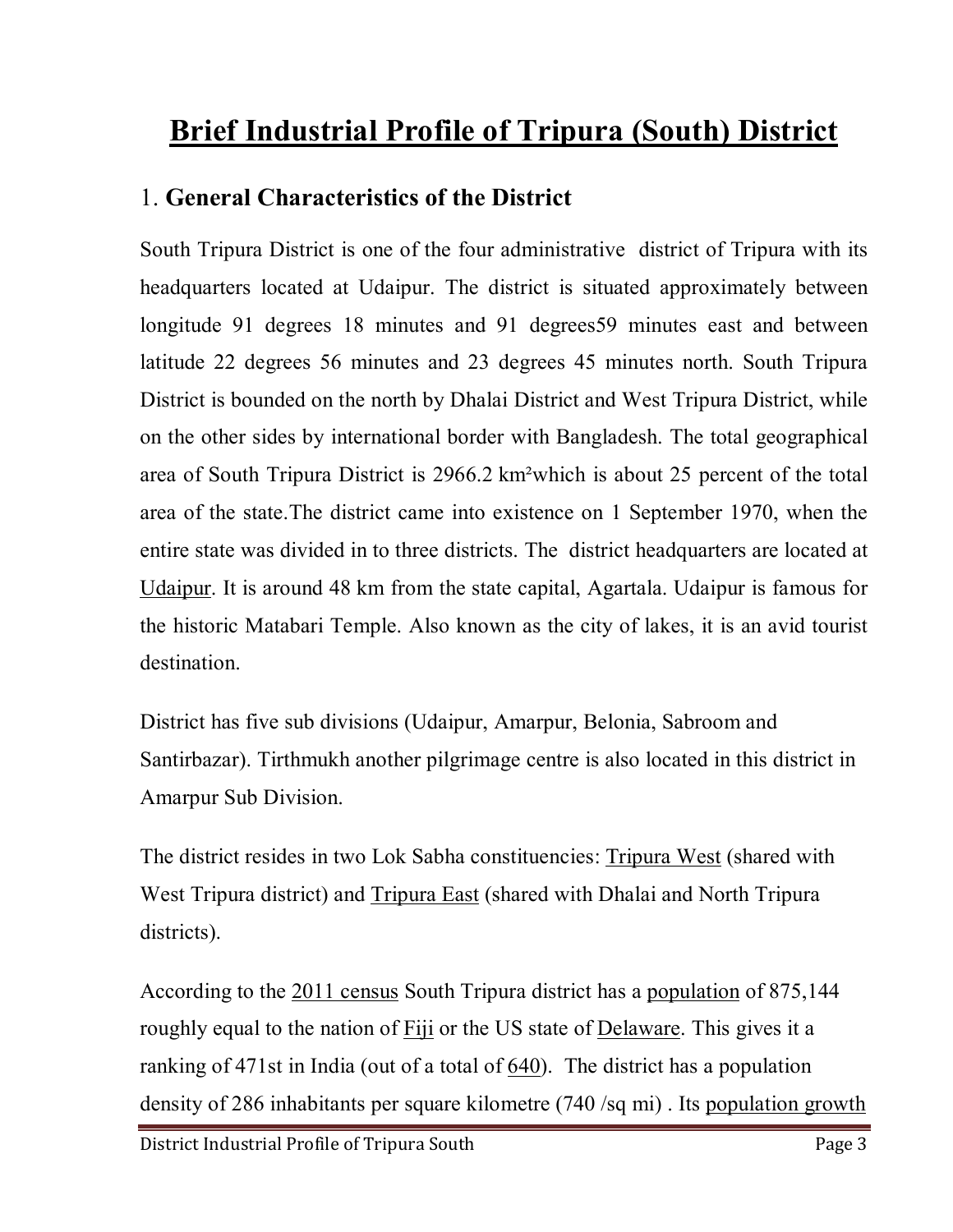# **Brief Industrial Profile of Tripura (South) District**

# 1. **General Characteristics of the District**

South Tripura District is one of the four administrative district of Tripura with its headquarters located at Udaipur. The district is situated approximately between longitude 91 degrees 18 minutes and 91 degrees59 minutes east and between latitude 22 degrees 56 minutes and 23 degrees 45 minutes north. South Tripura District is bounded on the north by Dhalai District and West Tripura District, while on the other sides by international border with Bangladesh. The total geographical area of South Tripura District is 2966.2 km²which is about 25 percent of the total area of the state.The district came into existence on 1 September 1970, when the entire state was divided in to three districts. The district headquarters are located at Udaipur. It is around 48 km from the state capital, Agartala. Udaipur is famous for the historic Matabari Temple. Also known as the city of lakes, it is an avid tourist destination.

District has five sub divisions (Udaipur, Amarpur, Belonia, Sabroom and Santirbazar). Tirthmukh another pilgrimage centre is also located in this district in Amarpur Sub Division.

The district resides in two Lok Sabha constituencies: Tripura West (shared with West Tripura district) and Tripura East (shared with Dhalai and North Tripura districts).

According to the 2011 census South Tripura district has a population of 875,144 roughly equal to the nation of Fiji or the US state of Delaware. This gives it a ranking of 471st in India (out of a total of 640). The district has a population density of 286 inhabitants per square kilometre (740 /sq mi) . Its population growth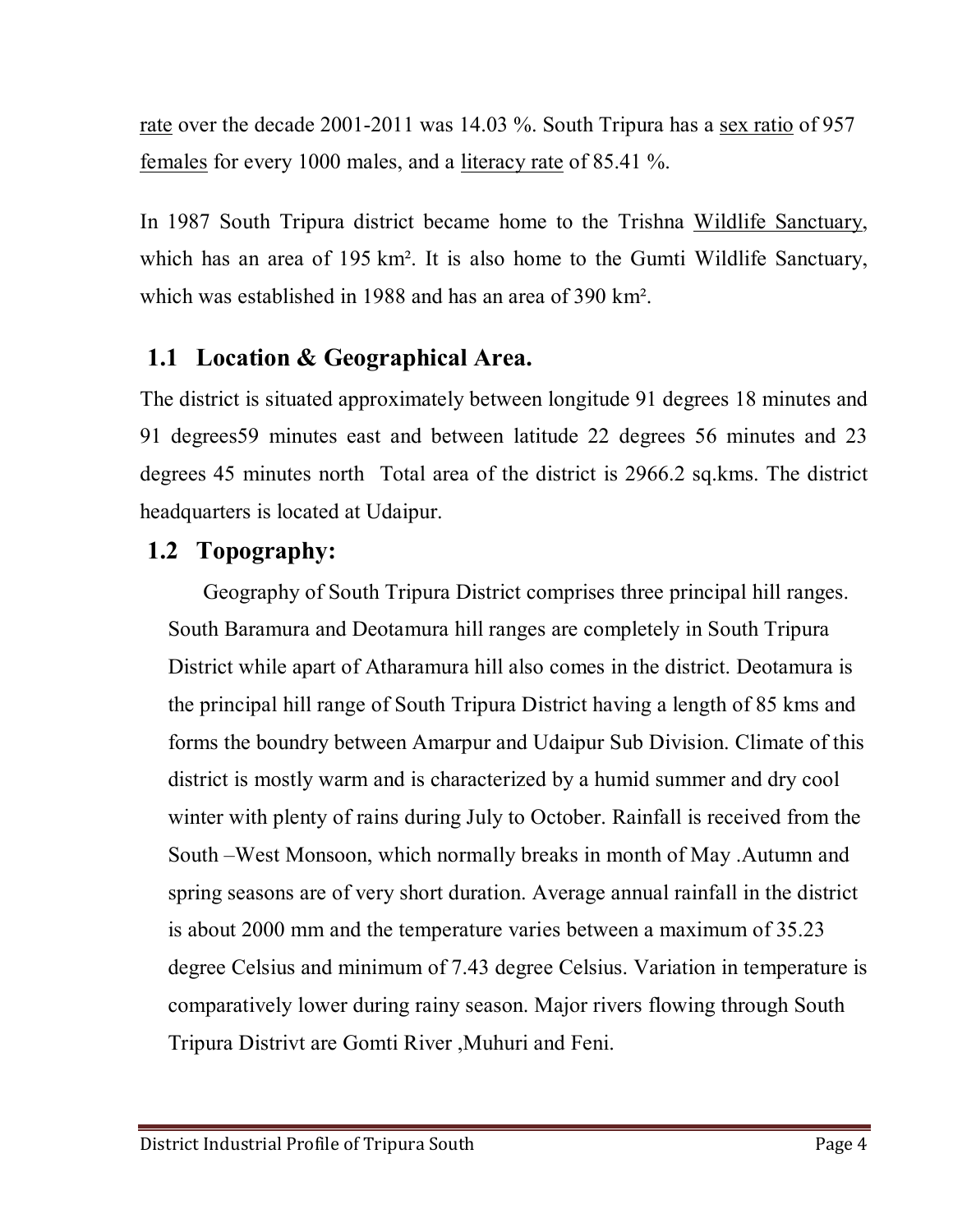rate over the decade 2001-2011 was 14.03 %. South Tripura has a <u>sex ratio</u> of 957 females for every 1000 males, and a literacy rate of 85.41 %.

In 1987 South Tripura district became home to the Trishna Wildlife Sanctuary, which has an area of 195 km<sup>2</sup>. It is also home to the Gumti Wildlife Sanctuary, which was established in 1988 and has an area of 390 km².

# **1.1 Location & Geographical Area.**

The district is situated approximately between longitude 91 degrees 18 minutes and 91 degrees59 minutes east and between latitude 22 degrees 56 minutes and 23 degrees 45 minutes north Total area of the district is 2966.2 sq.kms. The district headquarters is located at Udaipur.

# **1.2 Topography:**

Geography of South Tripura District comprises three principal hill ranges. South Baramura and Deotamura hill ranges are completely in South Tripura District while apart of Atharamura hill also comes in the district. Deotamura is the principal hill range of South Tripura District having a length of 85 kms and forms the boundry between Amarpur and Udaipur Sub Division. Climate of this district is mostly warm and is characterized by a humid summer and dry cool winter with plenty of rains during July to October. Rainfall is received from the South –West Monsoon, which normally breaks in month of May .Autumn and spring seasons are of very short duration. Average annual rainfall in the district is about 2000 mm and the temperature varies between a maximum of 35.23 degree Celsius and minimum of 7.43 degree Celsius. Variation in temperature is comparatively lower during rainy season. Major rivers flowing through South Tripura Distrivt are Gomti River ,Muhuri and Feni.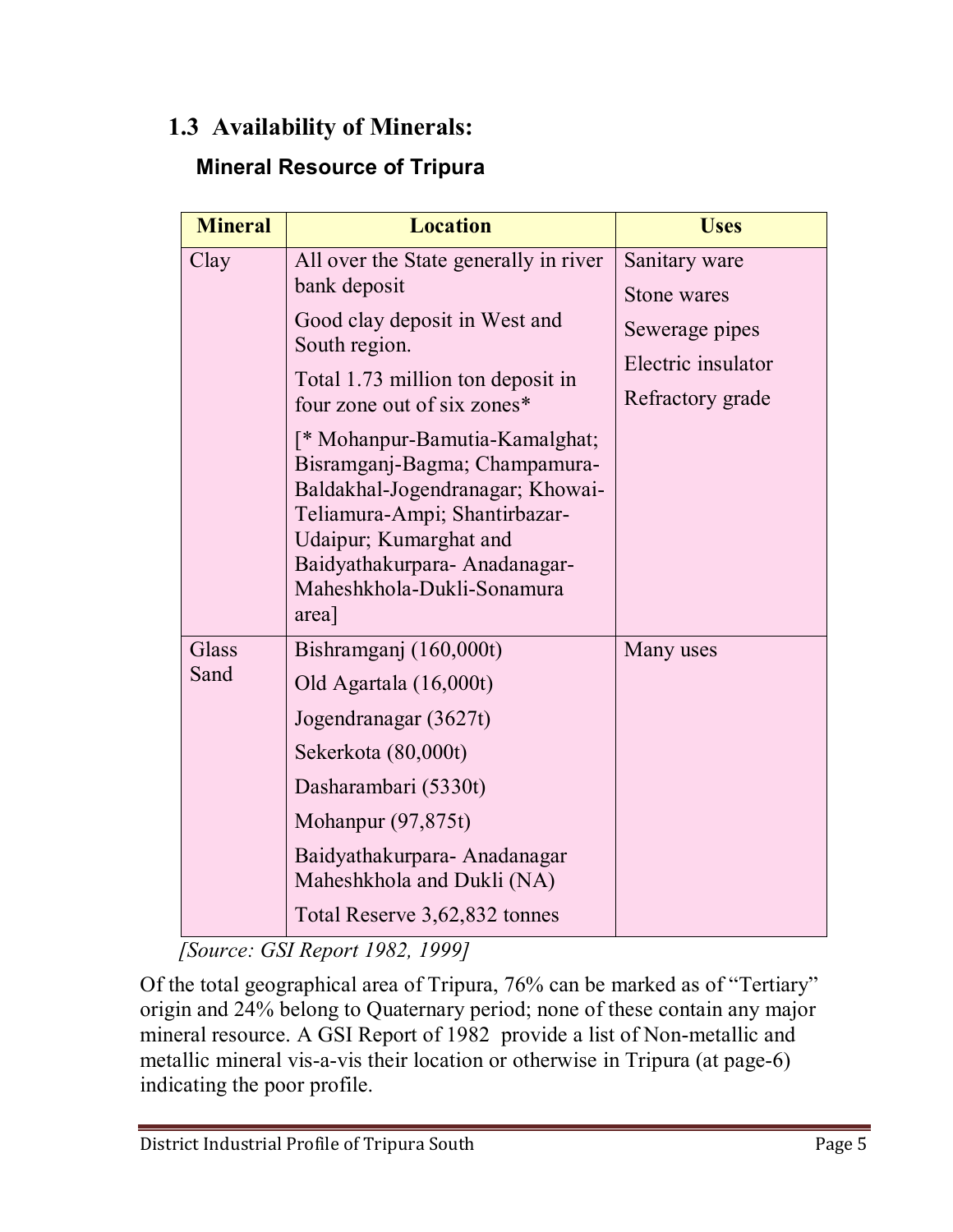# **1.3 Availability of Minerals:**

# **Mineral Resource of Tripura**

| <b>Mineral</b> | <b>Location</b>                                                                                                                                                                                                                                                                                                                                             | <b>Uses</b>                                              |
|----------------|-------------------------------------------------------------------------------------------------------------------------------------------------------------------------------------------------------------------------------------------------------------------------------------------------------------------------------------------------------------|----------------------------------------------------------|
| Clay           | All over the State generally in river<br>bank deposit                                                                                                                                                                                                                                                                                                       | Sanitary ware<br>Stone wares                             |
|                | Good clay deposit in West and<br>South region.<br>Total 1.73 million ton deposit in<br>four zone out of six zones*<br>[* Mohanpur-Bamutia-Kamalghat;<br>Bisramganj-Bagma; Champamura-<br>Baldakhal-Jogendranagar; Khowai-<br>Teliamura-Ampi; Shantirbazar-<br>Udaipur; Kumarghat and<br>Baidyathakurpara-Anadanagar-<br>Maheshkhola-Dukli-Sonamura<br>area] | Sewerage pipes<br>Electric insulator<br>Refractory grade |
| Glass<br>Sand  | Bishramganj (160,000t)<br>Old Agartala (16,000t)<br>Jogendranagar (3627t)<br>Sekerkota (80,000t)<br>Dasharambari (5330t)<br>Mohanpur $(97, 875t)$<br>Baidyathakurpara-Anadanagar<br>Maheshkhola and Dukli (NA)<br>Total Reserve 3,62,832 tonnes                                                                                                             | Many uses                                                |

 *[Source: GSI Report 1982, 1999]* 

Of the total geographical area of Tripura, 76% can be marked as of "Tertiary" origin and 24% belong to Quaternary period; none of these contain any major mineral resource. A GSI Report of 1982 provide a list of Non-metallic and metallic mineral vis-a-vis their location or otherwise in Tripura (at page-6) indicating the poor profile.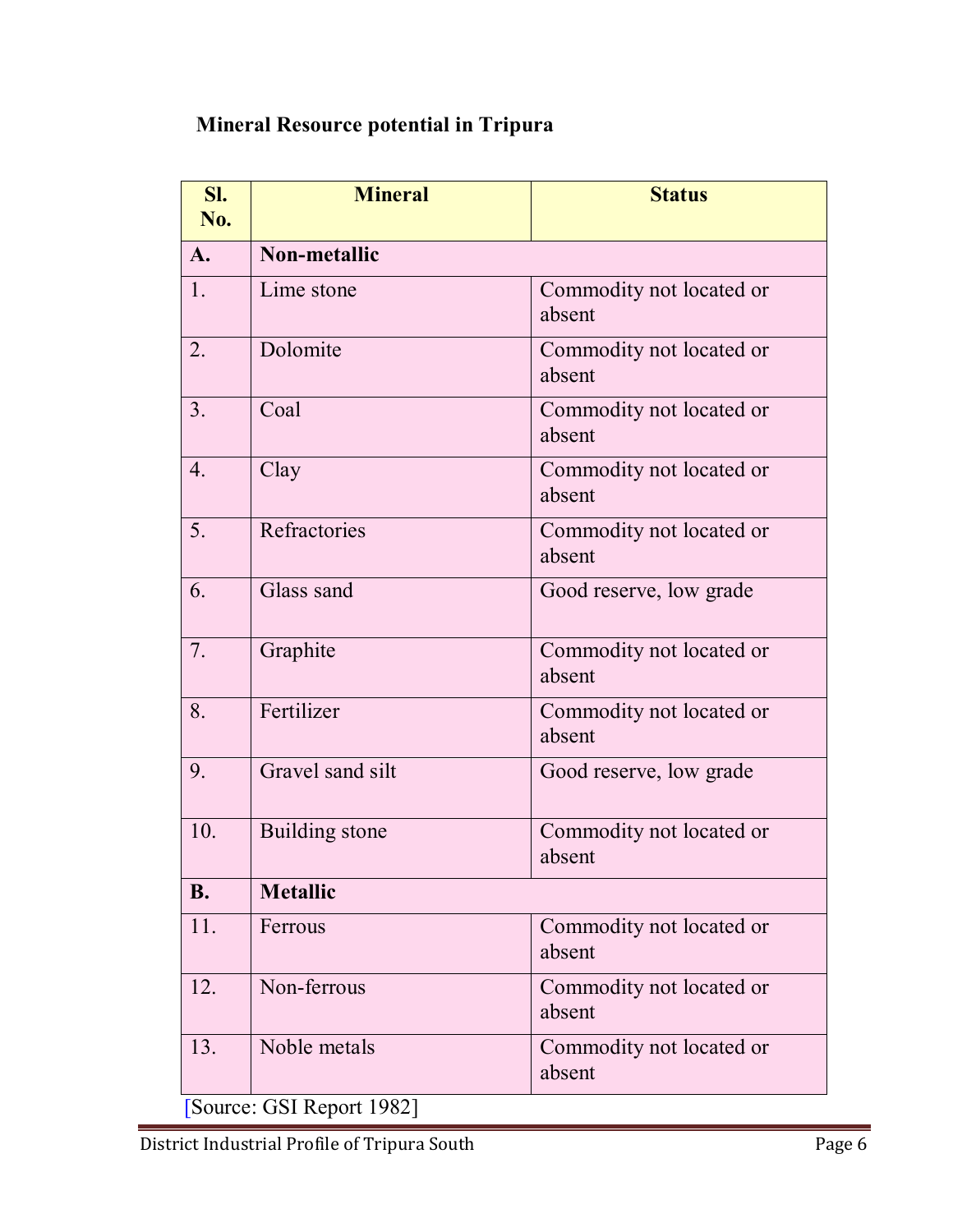### **Mineral Resource potential in Tripura**

| SI.<br>No.       | <b>Mineral</b>        | <b>Status</b>                      |  |  |
|------------------|-----------------------|------------------------------------|--|--|
| $\mathbf{A}$ .   | <b>Non-metallic</b>   |                                    |  |  |
| 1.               | Lime stone            | Commodity not located or<br>absent |  |  |
| 2.               | Dolomite              | Commodity not located or<br>absent |  |  |
| 3.               | Coal                  | Commodity not located or<br>absent |  |  |
| $\overline{4}$ . | Clay                  | Commodity not located or<br>absent |  |  |
| 5.               | Refractories          | Commodity not located or<br>absent |  |  |
| 6.               | Glass sand            | Good reserve, low grade            |  |  |
| 7.               | Graphite              | Commodity not located or<br>absent |  |  |
| 8.               | Fertilizer            | Commodity not located or<br>absent |  |  |
| 9.               | Gravel sand silt      | Good reserve, low grade            |  |  |
| 10.              | <b>Building</b> stone | Commodity not located or<br>absent |  |  |
| <b>B.</b>        | <b>Metallic</b>       |                                    |  |  |
| 11.              | Ferrous               | Commodity not located or<br>absent |  |  |
| 12.              | Non-ferrous           | Commodity not located or<br>absent |  |  |
| 13.              | Noble metals          | Commodity not located or<br>absent |  |  |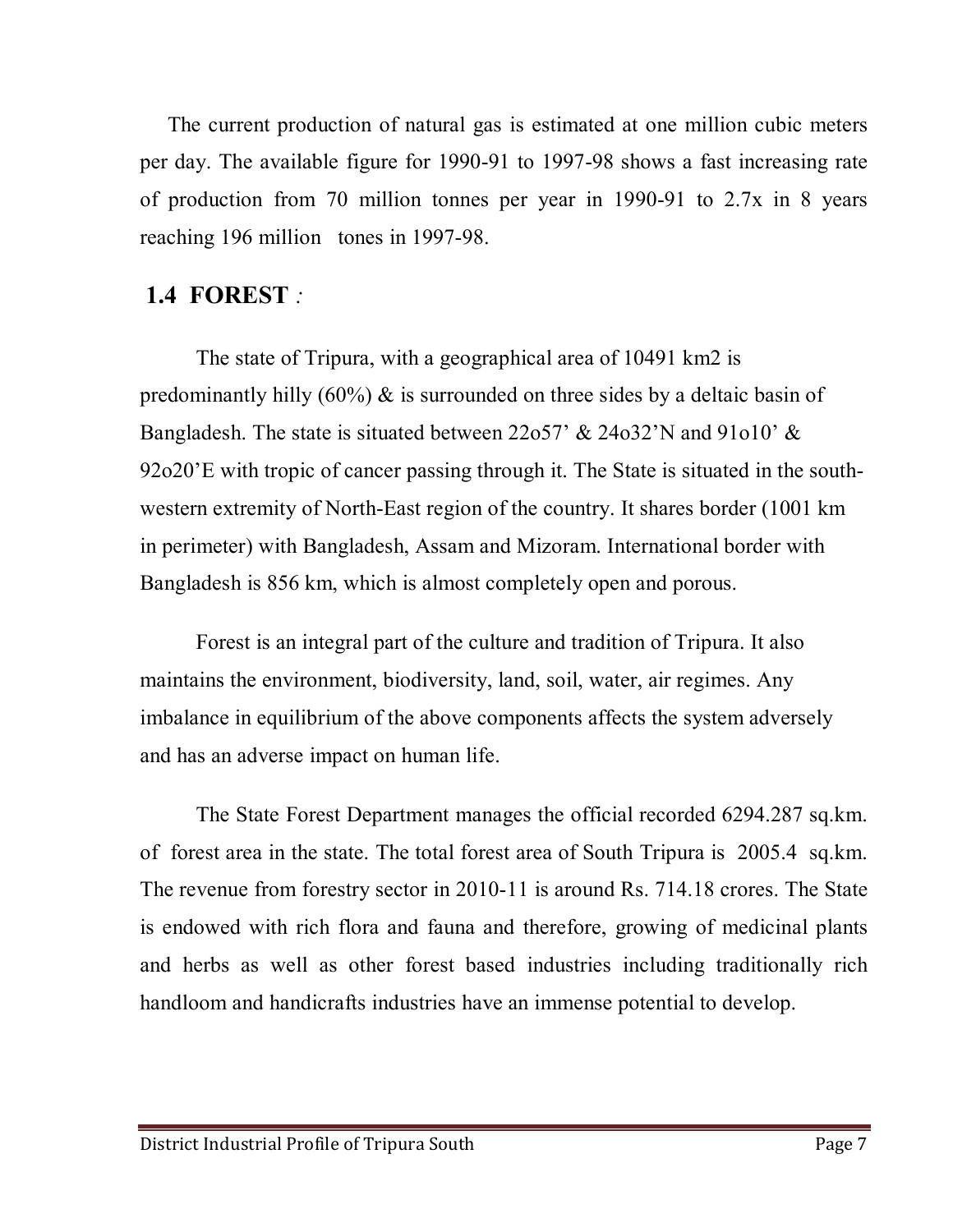The current production of natural gas is estimated at one million cubic meters per day. The available figure for 1990-91 to 1997-98 shows a fast increasing rate of production from 70 million tonnes per year in 1990-91 to 2.7x in 8 years reaching 196 million tones in 1997-98.

### **1.4 FOREST** *:*

The state of Tripura, with a geographical area of 10491 km2 is predominantly hilly  $(60\%)$  & is surrounded on three sides by a deltaic basin of Bangladesh. The state is situated between 22o57' & 24o32'N and 91o10' & 92o20'E with tropic of cancer passing through it. The State is situated in the southwestern extremity of North-East region of the country. It shares border (1001 km in perimeter) with Bangladesh, Assam and Mizoram. International border with Bangladesh is 856 km, which is almost completely open and porous.

Forest is an integral part of the culture and tradition of Tripura. It also maintains the environment, biodiversity, land, soil, water, air regimes. Any imbalance in equilibrium of the above components affects the system adversely and has an adverse impact on human life.

The State Forest Department manages the official recorded 6294.287 sq.km. of forest area in the state. The total forest area of South Tripura is 2005.4 sq.km. The revenue from forestry sector in 2010-11 is around Rs. 714.18 crores. The State is endowed with rich flora and fauna and therefore, growing of medicinal plants and herbs as well as other forest based industries including traditionally rich handloom and handicrafts industries have an immense potential to develop.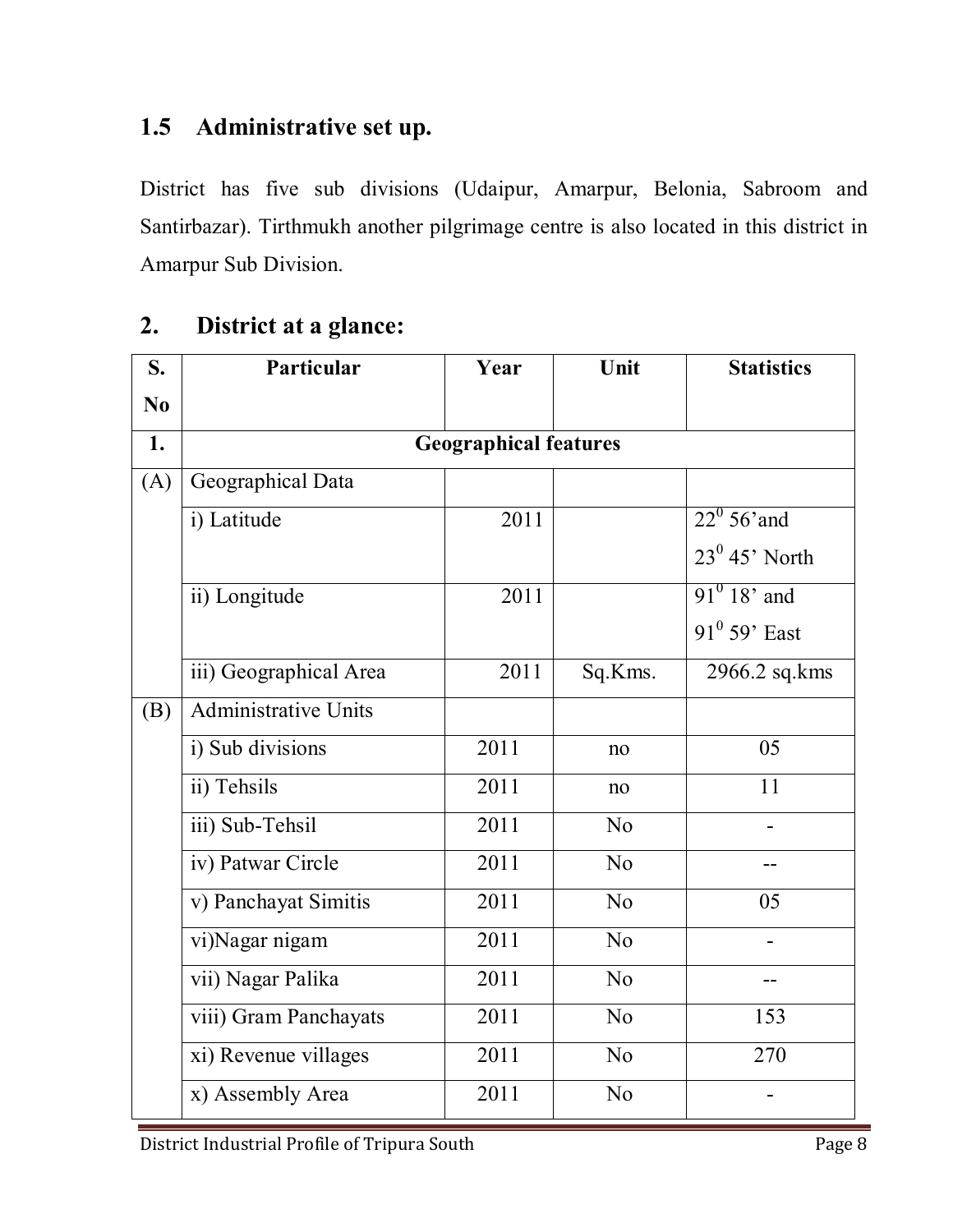### **1.5 Administrative set up.**

District has five sub divisions (Udaipur, Amarpur, Belonia, Sabroom and Santirbazar). Tirthmukh another pilgrimage centre is also located in this district in Amarpur Sub Division.

### **2. District at a glance:**

| S.             | Particular                  | Year                         | Unit           | <b>Statistics</b>    |
|----------------|-----------------------------|------------------------------|----------------|----------------------|
| N <sub>0</sub> |                             |                              |                |                      |
| 1.             |                             | <b>Geographical features</b> |                |                      |
| (A)            | Geographical Data           |                              |                |                      |
|                | i) Latitude                 | 2011                         |                | $22^{\circ}$ 56' and |
|                |                             |                              |                | $23^0$ 45' North     |
|                | ii) Longitude               | 2011                         |                | $91^0$ 18' and       |
|                |                             |                              |                | $91^0$ 59' East      |
|                | iii) Geographical Area      | 2011                         | Sq.Kms.        | 2966.2 sq.kms        |
| (B)            | <b>Administrative Units</b> |                              |                |                      |
|                | i) Sub divisions            | 2011                         | no             | 05                   |
|                | ii) Tehsils                 | 2011                         | no             | 11                   |
|                | iii) Sub-Tehsil             | 2011                         | No             |                      |
|                | iv) Patwar Circle           | 2011                         | No             |                      |
|                | v) Panchayat Simitis        | 2011                         | No             | 05                   |
|                | vi)Nagar nigam              | 2011                         | No             |                      |
|                | vii) Nagar Palika           | 2011                         | No             |                      |
|                | viii) Gram Panchayats       | 2011                         | N <sub>0</sub> | 153                  |
|                | xi) Revenue villages        | 2011                         | No             | 270                  |
|                | x) Assembly Area            | 2011                         | N <sub>0</sub> |                      |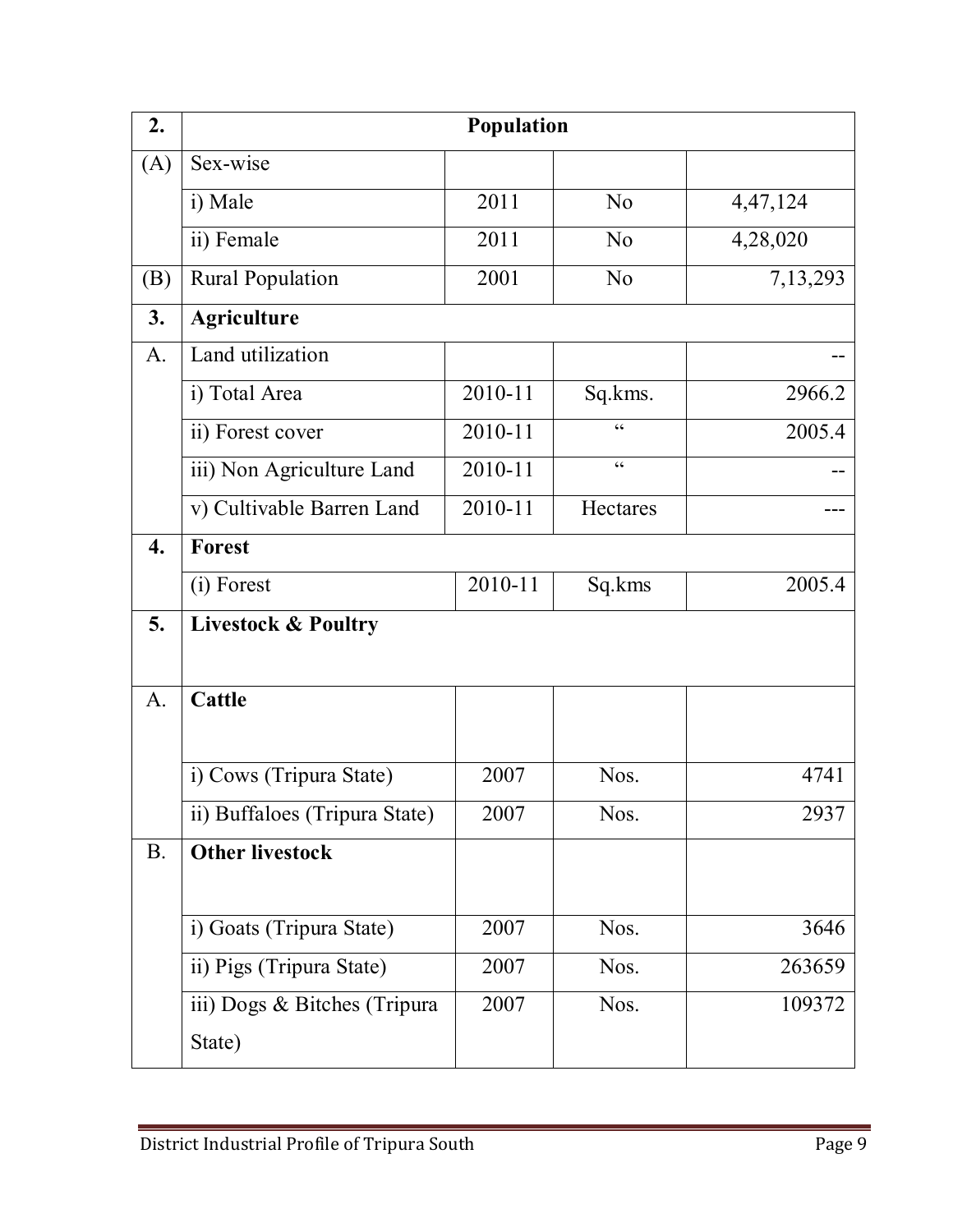| 2.               | Population                     |         |                                                   |          |  |
|------------------|--------------------------------|---------|---------------------------------------------------|----------|--|
| (A)              | Sex-wise                       |         |                                                   |          |  |
|                  | i) Male                        | 2011    | N <sub>0</sub>                                    | 4,47,124 |  |
|                  | ii) Female                     | 2011    | No                                                | 4,28,020 |  |
| (B)              | <b>Rural Population</b>        | 2001    | N <sub>o</sub>                                    | 7,13,293 |  |
| 3.               | <b>Agriculture</b>             |         |                                                   |          |  |
| $\mathbf{A}$ .   | Land utilization               |         |                                                   |          |  |
|                  | i) Total Area                  | 2010-11 | Sq.kms.                                           | 2966.2   |  |
|                  | ii) Forest cover               | 2010-11 | C                                                 | 2005.4   |  |
|                  | iii) Non Agriculture Land      | 2010-11 | $\boldsymbol{\varsigma}$ $\boldsymbol{\varsigma}$ |          |  |
|                  | v) Cultivable Barren Land      | 2010-11 | Hectares                                          |          |  |
| $\overline{4}$ . | Forest                         |         |                                                   |          |  |
|                  | (i) Forest                     | 2010-11 | Sq.kms                                            | 2005.4   |  |
| 5.               | <b>Livestock &amp; Poultry</b> |         |                                                   |          |  |
|                  |                                |         |                                                   |          |  |
| A.               | Cattle                         |         |                                                   |          |  |
|                  |                                |         |                                                   |          |  |
|                  | i) Cows (Tripura State)        | 2007    | Nos.                                              | 4741     |  |
|                  | ii) Buffaloes (Tripura State)  | 2007    | Nos.                                              | 2937     |  |
| <b>B.</b>        | <b>Other livestock</b>         |         |                                                   |          |  |
|                  |                                |         |                                                   |          |  |
|                  | i) Goats (Tripura State)       | 2007    | Nos.                                              | 3646     |  |
|                  | ii) Pigs (Tripura State)       | 2007    | Nos.                                              | 263659   |  |
|                  | iii) Dogs & Bitches (Tripura   | 2007    | Nos.                                              | 109372   |  |
|                  | State)                         |         |                                                   |          |  |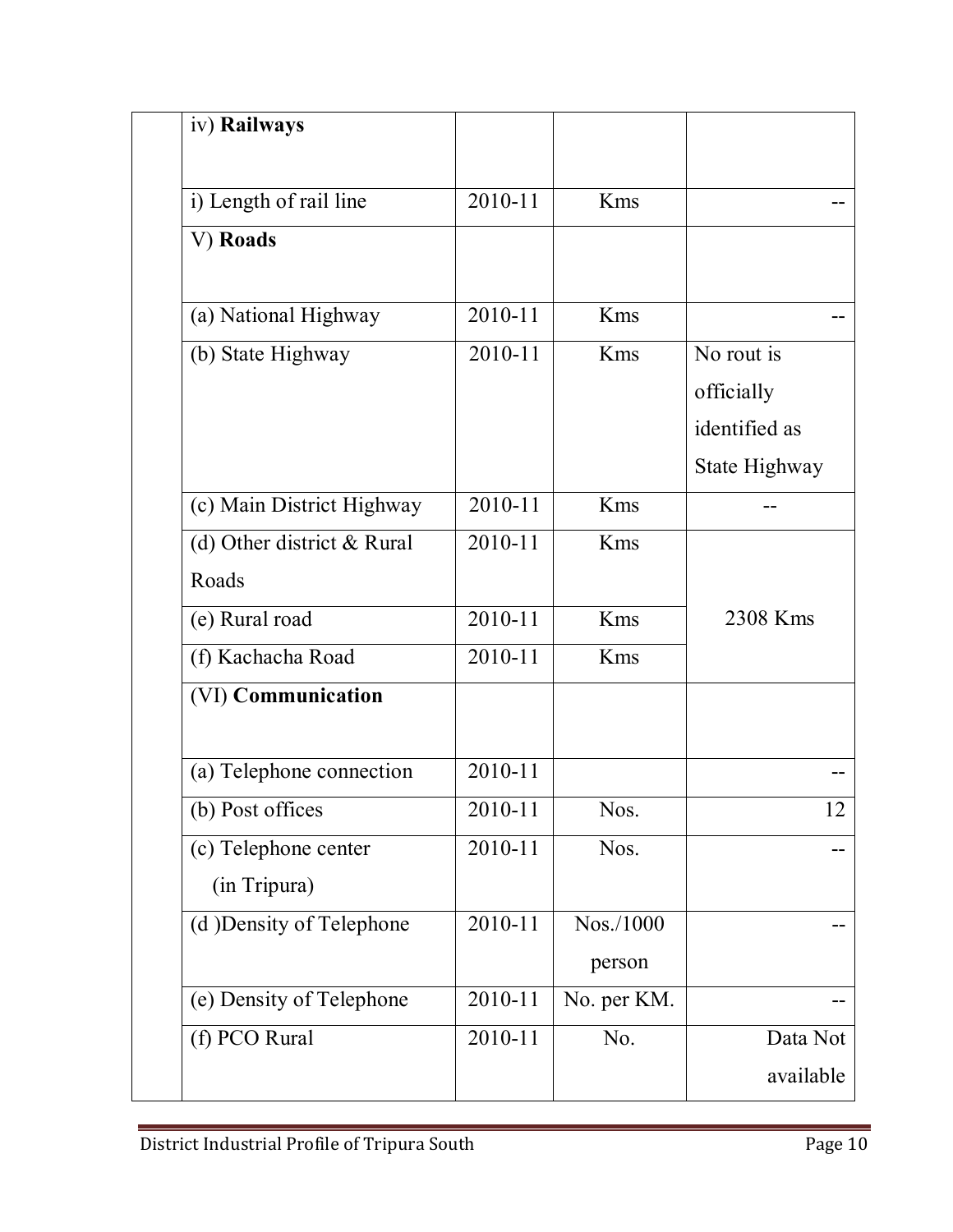| iv) Railways               |         |             |               |
|----------------------------|---------|-------------|---------------|
|                            |         |             |               |
| i) Length of rail line     | 2010-11 | <b>Kms</b>  |               |
| V) Roads                   |         |             |               |
| (a) National Highway       | 2010-11 | Kms         |               |
| (b) State Highway          | 2010-11 | Kms         | No rout is    |
|                            |         |             | officially    |
|                            |         |             | identified as |
|                            |         |             | State Highway |
| (c) Main District Highway  | 2010-11 | Kms         |               |
| (d) Other district & Rural | 2010-11 | Kms         |               |
| Roads                      |         |             |               |
| (e) Rural road             | 2010-11 | Kms         | 2308 Kms      |
| (f) Kachacha Road          | 2010-11 | Kms         |               |
| (VI) Communication         |         |             |               |
| (a) Telephone connection   | 2010-11 |             |               |
| (b) Post offices           | 2010-11 | Nos.        | 12            |
| (c) Telephone center       | 2010-11 | Nos.        |               |
| (in Tripura)               |         |             |               |
| (d) Density of Telephone   | 2010-11 | Nos./1000   |               |
|                            |         | person      |               |
| (e) Density of Telephone   | 2010-11 | No. per KM. |               |
| (f) PCO Rural              | 2010-11 | No.         | Data Not      |
|                            |         |             | available     |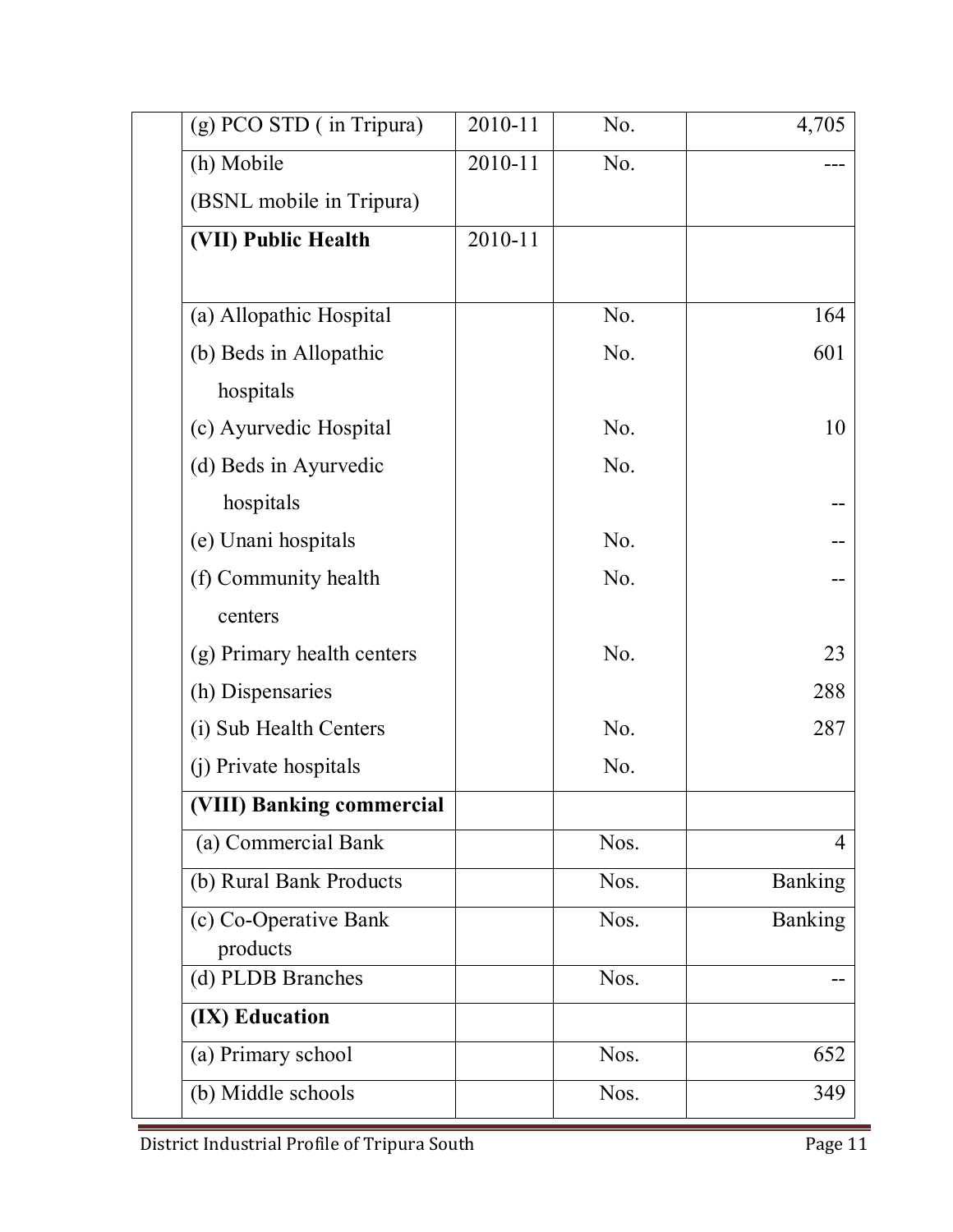| (g) PCO STD (in Tripura)   | 2010-11 | No.              | 4,705          |
|----------------------------|---------|------------------|----------------|
| (h) Mobile                 | 2010-11 | No.              |                |
| (BSNL mobile in Tripura)   |         |                  |                |
| (VII) Public Health        | 2010-11 |                  |                |
|                            |         |                  |                |
| (a) Allopathic Hospital    |         | N <sub>0</sub> . | 164            |
| (b) Beds in Allopathic     |         | No.              | 601            |
| hospitals                  |         |                  |                |
| (c) Ayurvedic Hospital     |         | N <sub>0</sub> . | 10             |
| (d) Beds in Ayurvedic      |         | No.              |                |
| hospitals                  |         |                  |                |
| (e) Unani hospitals        |         | No.              |                |
| (f) Community health       |         | No.              |                |
| centers                    |         |                  |                |
| (g) Primary health centers |         | N <sub>0</sub> . | 23             |
| (h) Dispensaries           |         |                  | 288            |
| (i) Sub Health Centers     |         | No.              | 287            |
| (j) Private hospitals      |         | No.              |                |
| (VIII) Banking commercial  |         |                  |                |
| (a) Commercial Bank        |         | Nos.             | 4              |
| (b) Rural Bank Products    |         | Nos.             | Banking        |
| (c) Co-Operative Bank      |         | Nos.             | <b>Banking</b> |
| products                   |         |                  |                |
| (d) PLDB Branches          |         | Nos.             |                |
| (IX) Education             |         |                  |                |
| (a) Primary school         |         | Nos.             | 652            |
| (b) Middle schools         |         | Nos.             | 349            |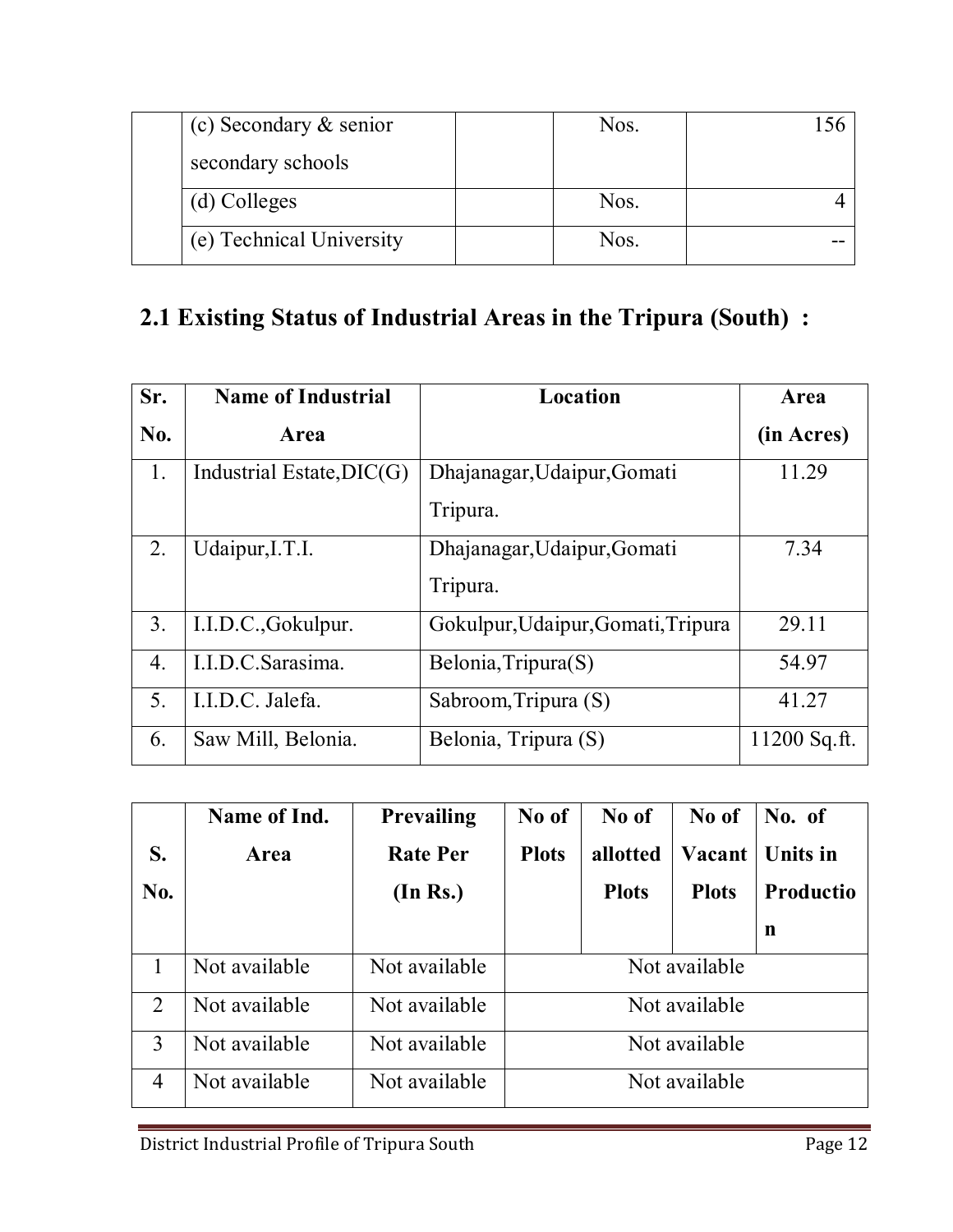| (c) Secondary $&$ senior | Nos. |  |
|--------------------------|------|--|
| secondary schools        |      |  |
| (d) Colleges             | Nos. |  |
| (e) Technical University | Nos. |  |

# **2.1 Existing Status of Industrial Areas in the Tripura (South) :**

| Sr.              | <b>Name of Industrial</b>   | Location                           | Area           |
|------------------|-----------------------------|------------------------------------|----------------|
| N <sub>0</sub> . | Area                        |                                    | (in Acres)     |
| $\mathbf{1}$ .   | Industrial Estate, $DIC(G)$ | Dhajanagar, Udaipur, Gomati        | 11.29          |
|                  |                             | Tripura.                           |                |
| 2.               | Udaipur, I.T.I.             | Dhajanagar, Udaipur, Gomati        | 7.34           |
|                  |                             | Tripura.                           |                |
| 3 <sub>1</sub>   | I.I.D.C., Gokulpur.         | Gokulpur, Udaipur, Gomati, Tripura | 29.11          |
| 4.               | I.I.D.C.Sarasima.           | Belonia, Tripura(S)                | 54.97          |
| 5.               | I.I.D.C. Jalefa.            | Sabroom, Tripura (S)               | 41.27          |
| 6.               | Saw Mill, Belonia.          | Belonia, Tripura (S)               | $11200$ Sq.ft. |

|                | Name of Ind.  | <b>Prevailing</b> | No of         | No of        | No of         | No. of           |
|----------------|---------------|-------------------|---------------|--------------|---------------|------------------|
| S.             | Area          | <b>Rate Per</b>   | <b>Plots</b>  | allotted     | Vacant        | Units in         |
| No.            |               | (In Rs.)          |               | <b>Plots</b> | <b>Plots</b>  | <b>Productio</b> |
|                |               |                   |               |              |               | n                |
| 1              | Not available | Not available     | Not available |              |               |                  |
| $\overline{2}$ | Not available | Not available     | Not available |              |               |                  |
| 3              | Not available | Not available     | Not available |              |               |                  |
| 4              | Not available | Not available     |               |              | Not available |                  |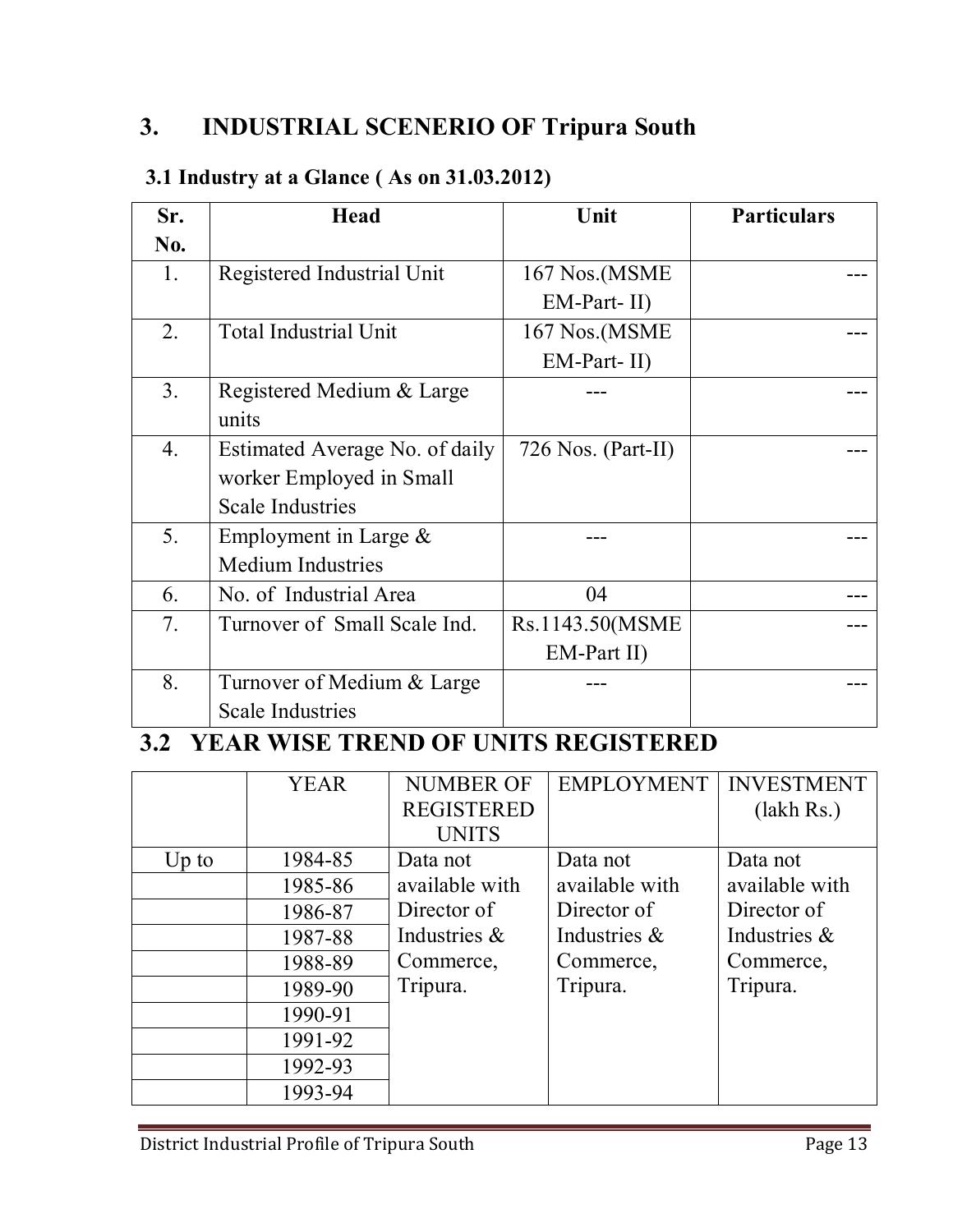# **3. INDUSTRIAL SCENERIO OF Tripura South**

### **3.1 Industry at a Glance ( As on 31.03.2012)**

| Sr.              | <b>Head</b>                    | Unit               | <b>Particulars</b> |
|------------------|--------------------------------|--------------------|--------------------|
| N <sub>0</sub> . |                                |                    |                    |
| 1.               | Registered Industrial Unit     | 167 Nos.(MSME      |                    |
|                  |                                | $EM-Part-II)$      |                    |
| 2.               | <b>Total Industrial Unit</b>   | 167 Nos. (MSME     |                    |
|                  |                                | $EM$ -Part-II)     |                    |
| 3 <sub>1</sub>   | Registered Medium & Large      |                    |                    |
|                  | units                          |                    |                    |
| $\overline{4}$ . | Estimated Average No. of daily | 726 Nos. (Part-II) |                    |
|                  | worker Employed in Small       |                    |                    |
|                  | <b>Scale Industries</b>        |                    |                    |
| 5.               | Employment in Large $\&$       |                    |                    |
|                  | <b>Medium Industries</b>       |                    |                    |
| 6.               | No. of Industrial Area         | 04                 |                    |
| 7.               | Turnover of Small Scale Ind.   | Rs.1143.50(MSME    |                    |
|                  |                                | $EM$ -Part II)     |                    |
| 8.               | Turnover of Medium & Large     |                    |                    |
|                  | <b>Scale Industries</b>        |                    |                    |

# **3.2 YEAR WISE TREND OF UNITS REGISTERED**

|         | <b>YEAR</b> | <b>NUMBER OF</b><br><b>REGISTERED</b> | <b>EMPLOYMENT</b> | <b>INVESTMENT</b> |
|---------|-------------|---------------------------------------|-------------------|-------------------|
|         |             | <b>UNITS</b>                          |                   | (lakh Rs.)        |
| $Up$ to | 1984-85     | Data not                              | Data not          | Data not          |
|         | 1985-86     | available with                        | available with    | available with    |
|         | 1986-87     | Director of                           | Director of       | Director of       |
|         | 1987-88     | Industries &                          | Industries &      | Industries &      |
|         | 1988-89     | Commerce,                             | Commerce,         | Commerce,         |
|         | 1989-90     | Tripura.                              | Tripura.          | Tripura.          |
|         | 1990-91     |                                       |                   |                   |
|         | 1991-92     |                                       |                   |                   |
|         | 1992-93     |                                       |                   |                   |
|         | 1993-94     |                                       |                   |                   |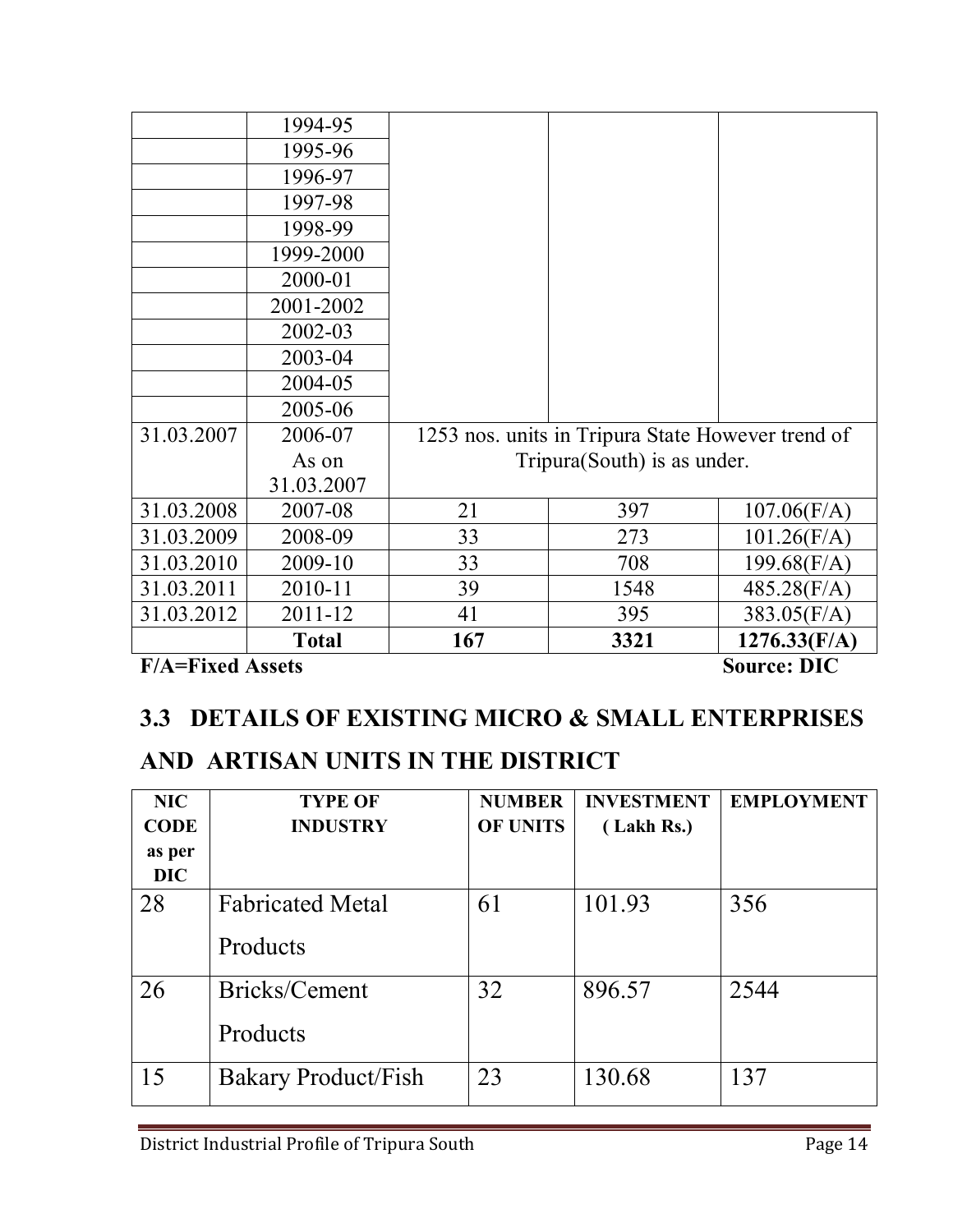| <b>F/A=Fixed Assets</b> |              |     |                                                   | <b>Source: DIC</b> |
|-------------------------|--------------|-----|---------------------------------------------------|--------------------|
|                         | <b>Total</b> | 167 | 3321                                              | 1276.33(F/A)       |
| 31.03.2012              | 2011-12      | 41  | 395                                               | 383.05(F/A)        |
| 31.03.2011              | 2010-11      | 39  | 1548                                              | 485.28(F/A)        |
| 31.03.2010              | 2009-10      | 33  | 708                                               | 199.68(F/A)        |
| 31.03.2009              | 2008-09      | 33  | 273                                               | $101.26$ (F/A)     |
| 31.03.2008              | 2007-08      | 21  | 397                                               | $107.06$ (F/A)     |
|                         | 31.03.2007   |     |                                                   |                    |
|                         | As on        |     | Tripura(South) is as under.                       |                    |
| 31.03.2007              | 2006-07      |     | 1253 nos. units in Tripura State However trend of |                    |
|                         | 2005-06      |     |                                                   |                    |
|                         | 2004-05      |     |                                                   |                    |
|                         | 2003-04      |     |                                                   |                    |
|                         | 2002-03      |     |                                                   |                    |
|                         | 2001-2002    |     |                                                   |                    |
|                         | 2000-01      |     |                                                   |                    |
|                         | 1999-2000    |     |                                                   |                    |
|                         | 1998-99      |     |                                                   |                    |
|                         | 1997-98      |     |                                                   |                    |
|                         | 1996-97      |     |                                                   |                    |
|                         | 1995-96      |     |                                                   |                    |
|                         | 1994-95      |     |                                                   |                    |

# **3.3 DETAILS OF EXISTING MICRO & SMALL ENTERPRISES**

# **AND ARTISAN UNITS IN THE DISTRICT**

| <b>NIC</b><br><b>CODE</b><br>as per<br><b>DIC</b> | <b>TYPE OF</b><br><b>INDUSTRY</b>   | <b>NUMBER</b><br><b>OF UNITS</b> | <b>INVESTMENT</b><br>(Lakh Rs.) | <b>EMPLOYMENT</b> |
|---------------------------------------------------|-------------------------------------|----------------------------------|---------------------------------|-------------------|
| 28                                                | <b>Fabricated Metal</b><br>Products | 61                               | 101.93                          | 356               |
| 26                                                | Bricks/Cement<br>Products           | 32                               | 896.57                          | 2544              |
| 15                                                | <b>Bakary Product/Fish</b>          | 23                               | 130.68                          | 137               |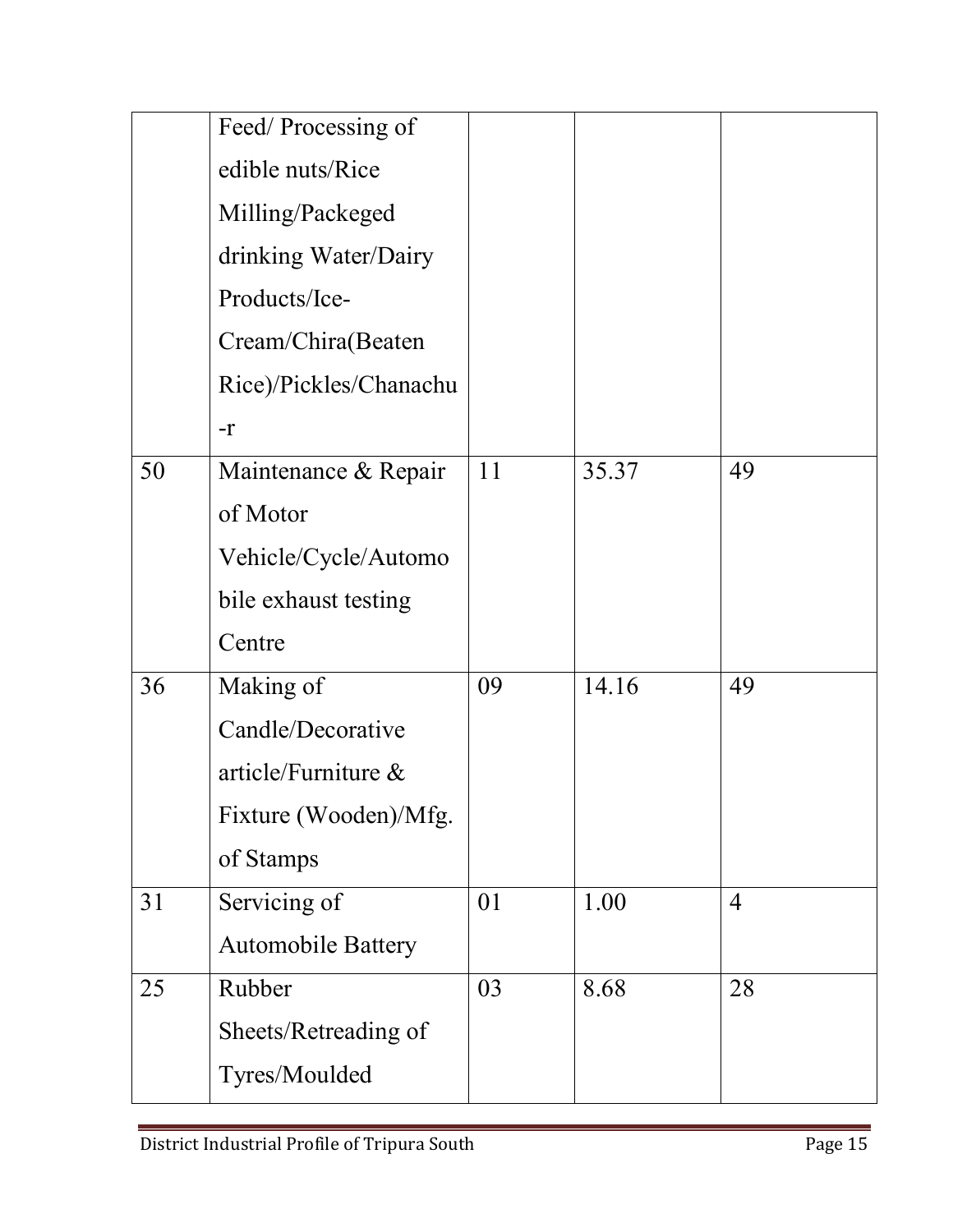|    | Feed/Processing of        |    |       |                |
|----|---------------------------|----|-------|----------------|
|    | edible nuts/Rice          |    |       |                |
|    | Milling/Packeged          |    |       |                |
|    | drinking Water/Dairy      |    |       |                |
|    | Products/Ice-             |    |       |                |
|    | Cream/Chira(Beaten        |    |       |                |
|    | Rice)/Pickles/Chanachu    |    |       |                |
|    | $-r$                      |    |       |                |
| 50 | Maintenance & Repair      | 11 | 35.37 | 49             |
|    | of Motor                  |    |       |                |
|    | Vehicle/Cycle/Automo      |    |       |                |
|    | bile exhaust testing      |    |       |                |
|    | Centre                    |    |       |                |
| 36 | Making of                 | 09 | 14.16 | 49             |
|    | Candle/Decorative         |    |       |                |
|    | article/Furniture $\&$    |    |       |                |
|    | Fixture (Wooden)/Mfg.     |    |       |                |
|    | of Stamps                 |    |       |                |
| 31 | Servicing of              | 01 | 1.00  | $\overline{4}$ |
|    | <b>Automobile Battery</b> |    |       |                |
| 25 | Rubber                    | 03 | 8.68  | 28             |
|    | Sheets/Retreading of      |    |       |                |
|    | Tyres/Moulded             |    |       |                |
|    |                           |    |       |                |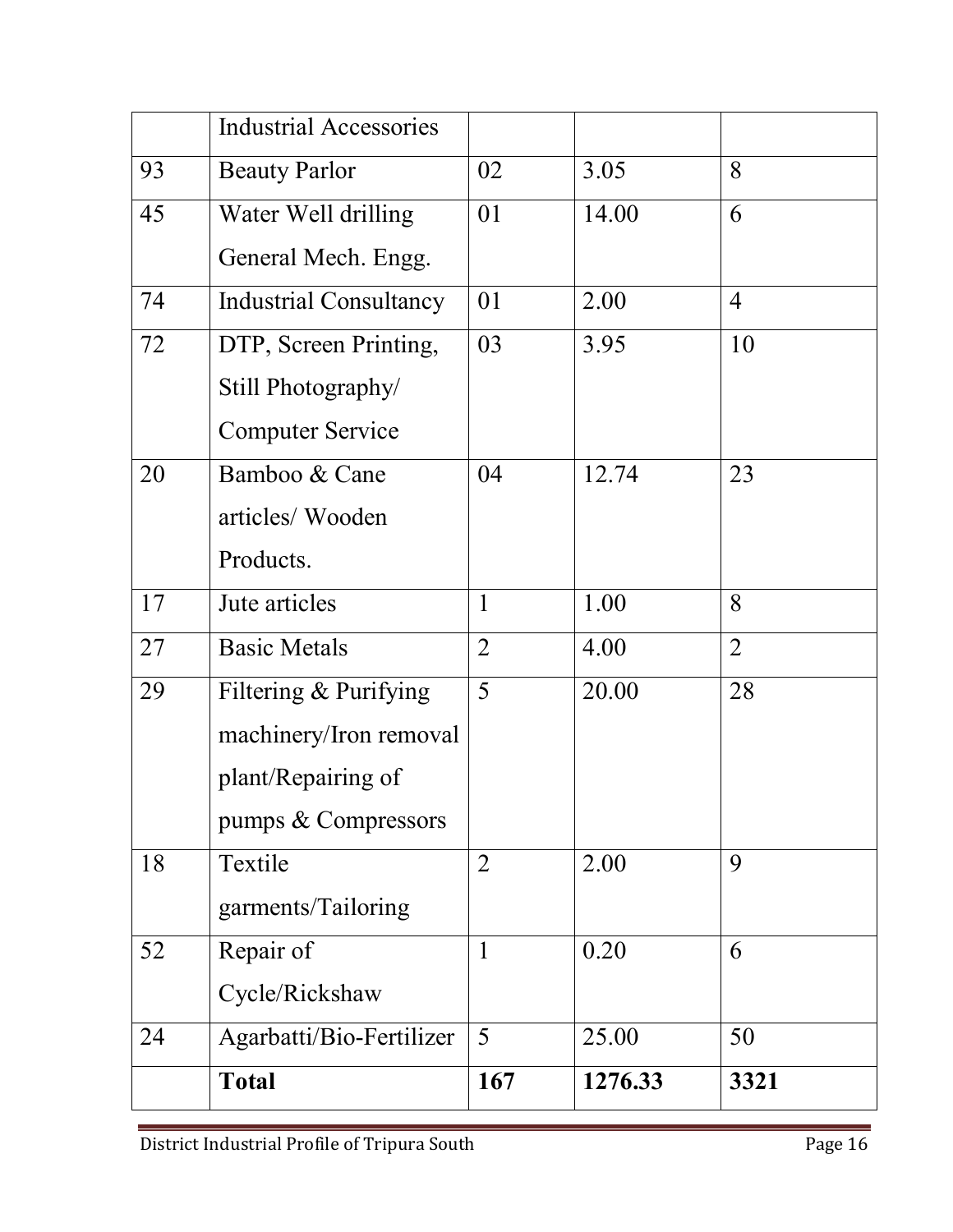|    | <b>Industrial Accessories</b> |                |         |                |
|----|-------------------------------|----------------|---------|----------------|
| 93 | <b>Beauty Parlor</b>          | 02             | 3.05    | 8              |
| 45 | Water Well drilling           | 01             | 14.00   | 6              |
|    | General Mech. Engg.           |                |         |                |
| 74 | <b>Industrial Consultancy</b> | 01             | 2.00    | $\overline{4}$ |
| 72 | DTP, Screen Printing,         | 03             | 3.95    | 10             |
|    | Still Photography/            |                |         |                |
|    | <b>Computer Service</b>       |                |         |                |
| 20 | Bamboo & Cane                 | 04             | 12.74   | 23             |
|    | articles/ Wooden              |                |         |                |
|    | Products.                     |                |         |                |
| 17 | Jute articles                 | $\mathbf{1}$   | 1.00    | 8              |
| 27 | <b>Basic Metals</b>           | $\overline{2}$ | 4.00    | $\overline{2}$ |
| 29 | Filtering & Purifying         | 5              | 20.00   | 28             |
|    | machinery/Iron removal        |                |         |                |
|    | plant/Repairing of            |                |         |                |
|    | pumps & Compressors           |                |         |                |
| 18 | Textile                       | $\overline{2}$ | 2.00    | 9              |
|    | garments/Tailoring            |                |         |                |
| 52 | Repair of                     | $\mathbf{1}$   | 0.20    | 6              |
|    | Cycle/Rickshaw                |                |         |                |
| 24 | Agarbatti/Bio-Fertilizer      | 5              | 25.00   | 50             |
|    | <b>Total</b>                  | 167            | 1276.33 | 3321           |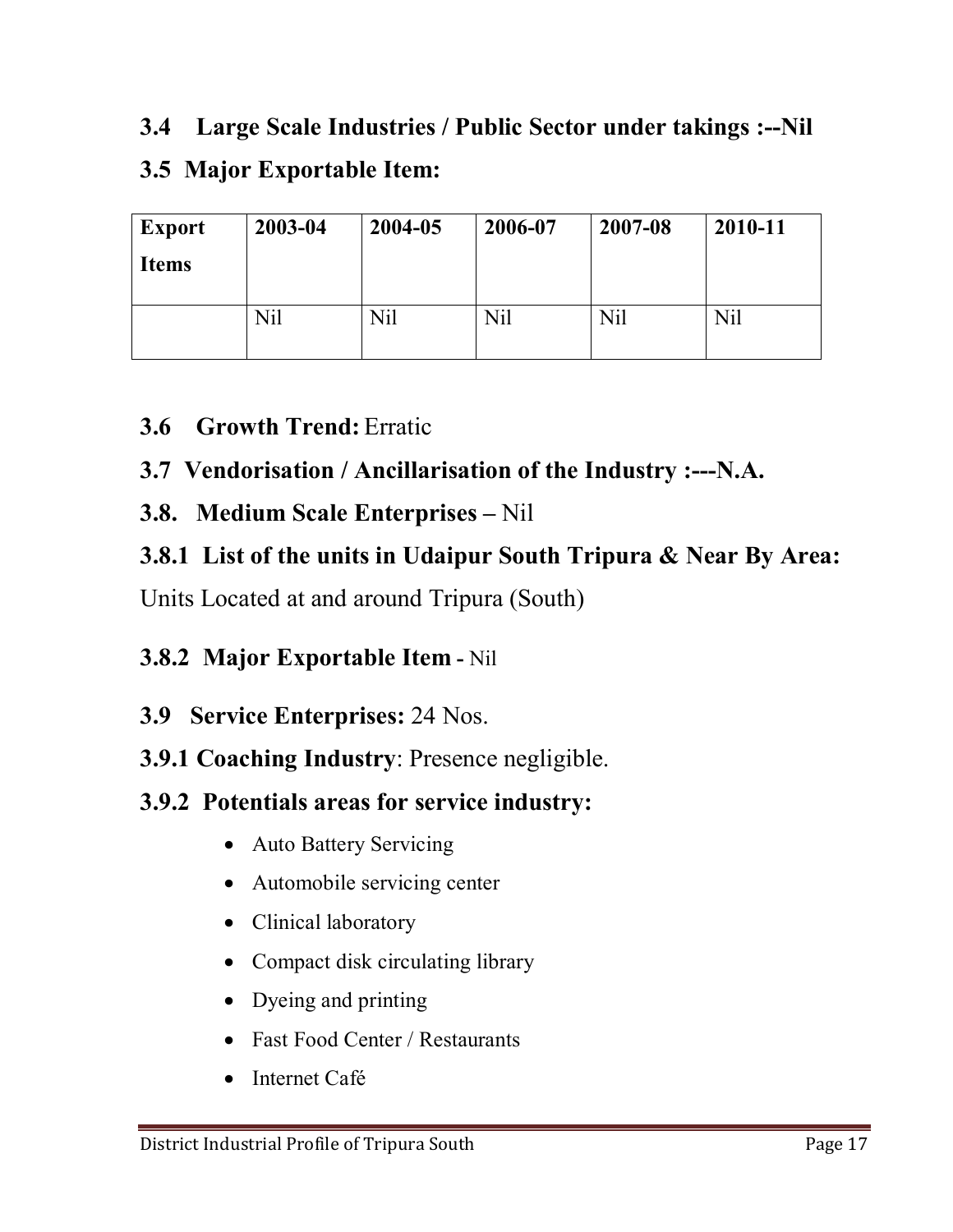# **3.4 Large Scale Industries / Public Sector under takings :--Nil 3.5 Major Exportable Item:**

| <b>Export</b> | 2003-04 | 2004-05 | 2006-07 | 2007-08 | 2010-11 |
|---------------|---------|---------|---------|---------|---------|
| <b>Items</b>  |         |         |         |         |         |
|               |         |         |         |         |         |
|               | Nil     | Nil     | Nil     | Nil     | Nil     |

### **3.6 Growth Trend:** Erratic

### **3.7 Vendorisation / Ancillarisation of the Industry :---N.A.**

### **3.8. Medium Scale Enterprises –** Nil

# **3.8.1 List of the units in Udaipur South Tripura & Near By Area:**

Units Located at and around Tripura (South)

### **3.8.2 Major Exportable Item -** Nil

### **3.9 Service Enterprises:** 24 Nos.

### **3.9.1 Coaching Industry**: Presence negligible.

### **3.9.2 Potentials areas for service industry:**

- Auto Battery Servicing
- Automobile servicing center
- Clinical laboratory
- Compact disk circulating library
- Dyeing and printing
- Fast Food Center / Restaurants
- Internet Café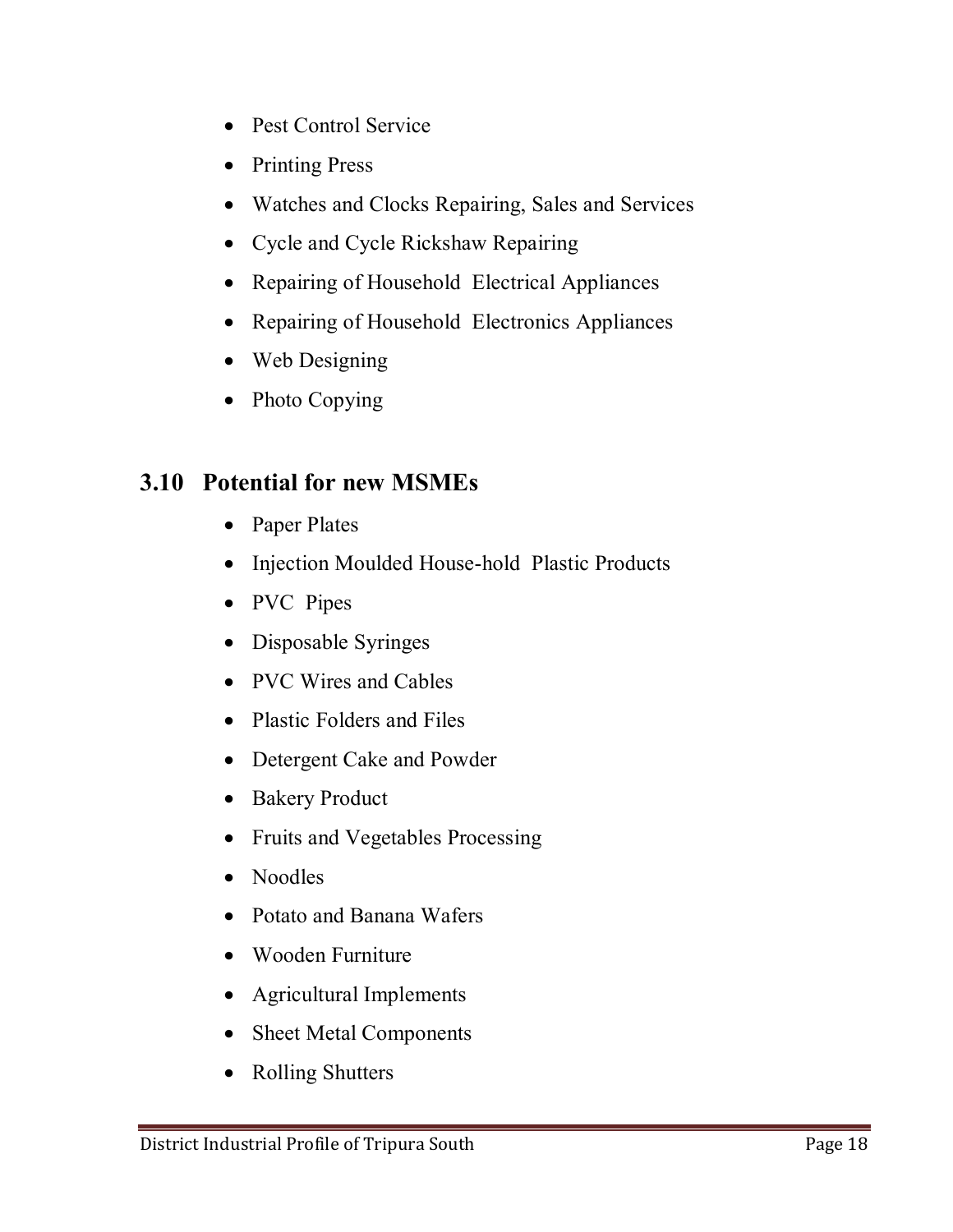- Pest Control Service
- Printing Press
- Watches and Clocks Repairing, Sales and Services
- Cycle and Cycle Rickshaw Repairing
- Repairing of Household Electrical Appliances
- Repairing of Household Electronics Appliances
- Web Designing
- Photo Copying

### **3.10 Potential for new MSMEs**

- Paper Plates
- Injection Moulded House-hold Plastic Products
- PVC Pipes
- Disposable Syringes
- PVC Wires and Cables
- Plastic Folders and Files
- Detergent Cake and Powder
- Bakery Product
- Fruits and Vegetables Processing
- Noodles
- Potato and Banana Wafers
- Wooden Furniture
- Agricultural Implements
- Sheet Metal Components
- Rolling Shutters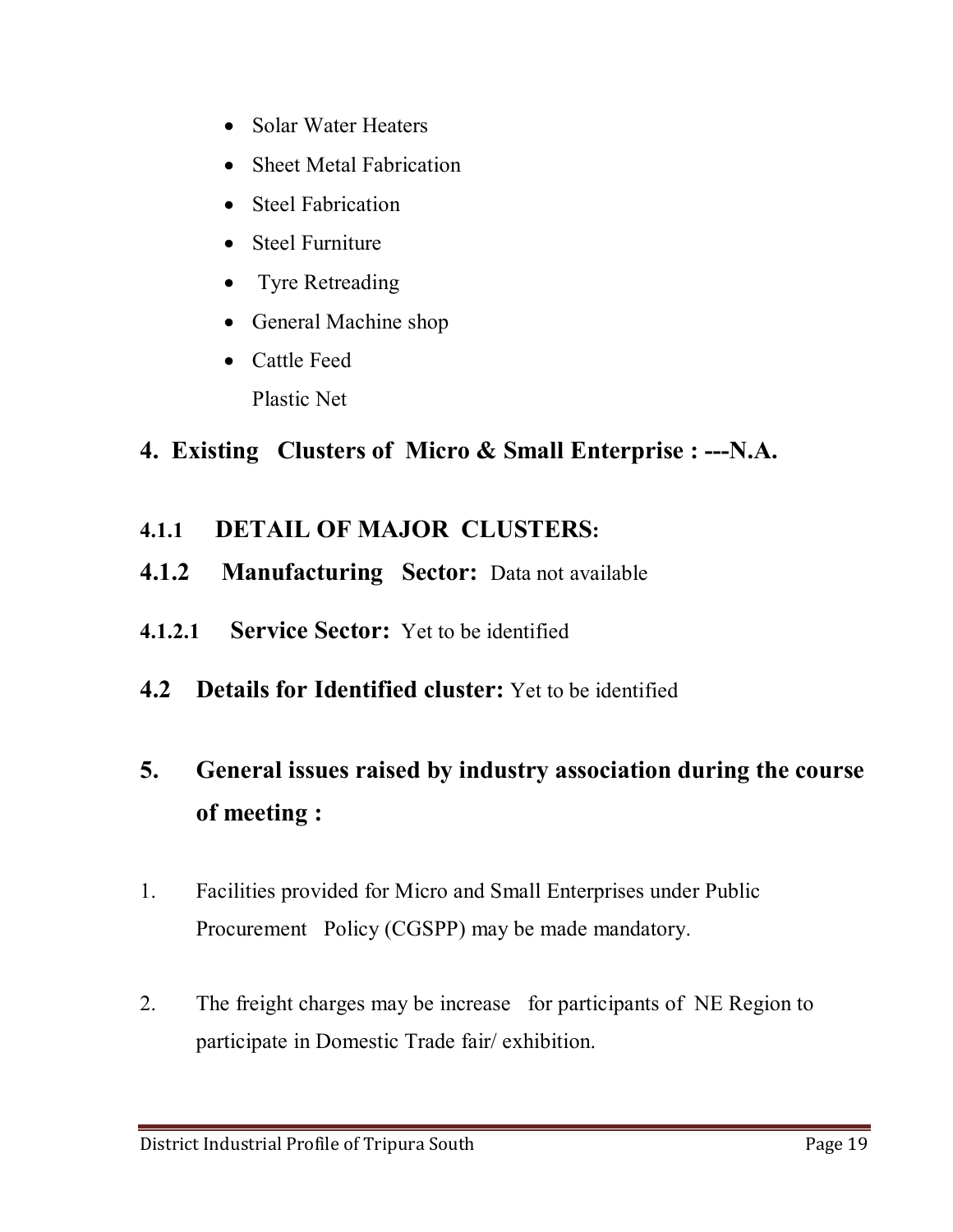- Solar Water Heaters
- Sheet Metal Fabrication
- Steel Fabrication
- Steel Furniture
- Tyre Retreading
- General Machine shop
- Cattle Feed Plastic Net

# **4. Existing Clusters of Micro & Small Enterprise : ---N.A.**

- **4.1.1 DETAIL OF MAJOR CLUSTERS:**
- **4.1.2 Manufacturing Sector:** Data not available
- **4.1.2.1 Service Sector:** Yet to be identified
- **4.2 Details for Identified cluster:** Yet to be identified

# **5. General issues raised by industry association during the course of meeting :**

- 1. Facilities provided for Micro and Small Enterprises under Public Procurement Policy (CGSPP) may be made mandatory.
- 2. The freight charges may be increase for participants of NE Region to participate in Domestic Trade fair/ exhibition.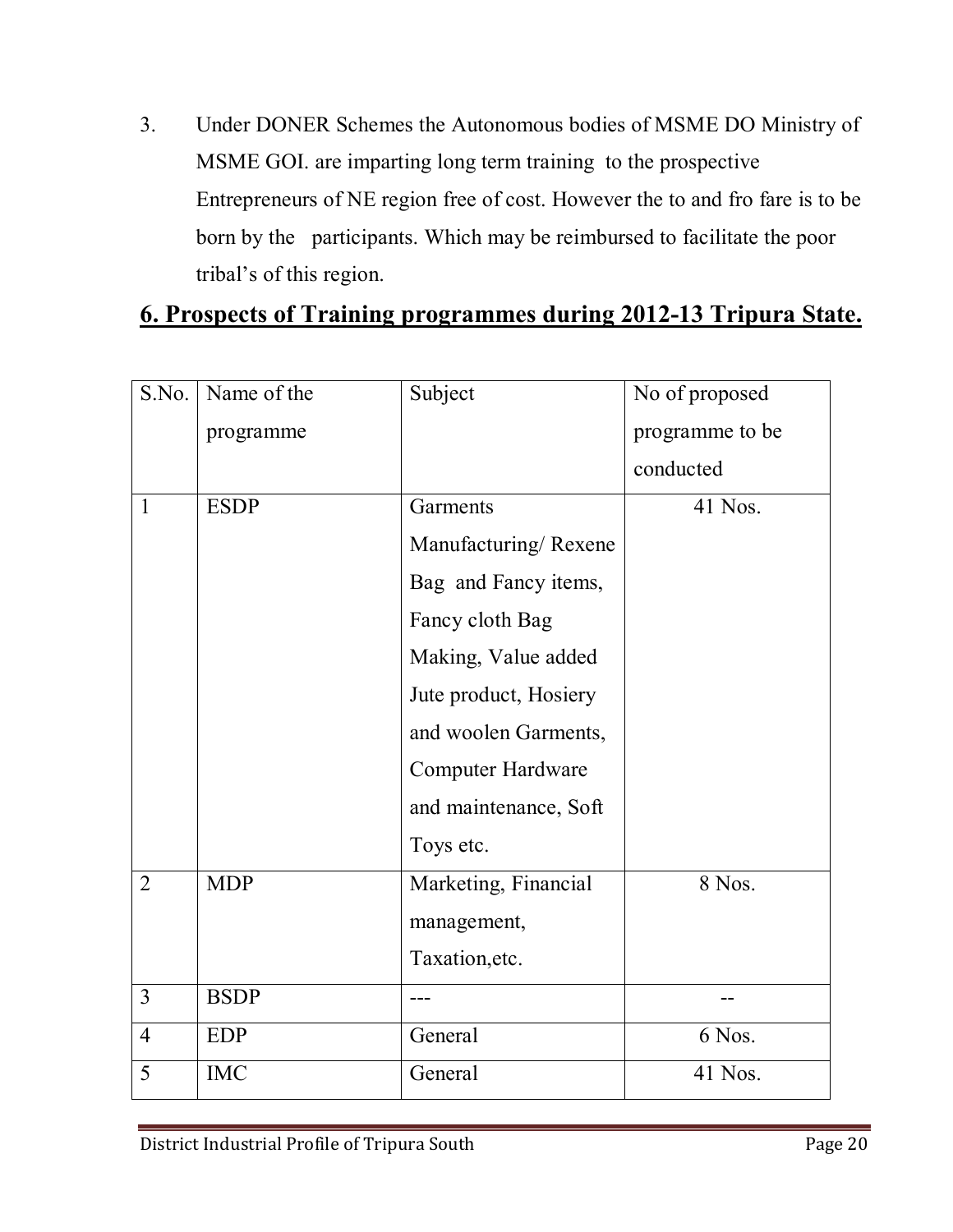3. Under DONER Schemes the Autonomous bodies of MSME DO Ministry of MSME GOI. are imparting long term training to the prospective Entrepreneurs of NE region free of cost. However the to and fro fare is to be born by the participants. Which may be reimbursed to facilitate the poor tribal's of this region.

### **6. Prospects of Training programmes during 2012-13 Tripura State.**

| S.No.          | Name of the | Subject                  | No of proposed  |
|----------------|-------------|--------------------------|-----------------|
|                | programme   |                          | programme to be |
|                |             |                          | conducted       |
| $\mathbf{1}$   | <b>ESDP</b> | Garments                 | 41 Nos.         |
|                |             | Manufacturing/Rexene     |                 |
|                |             | Bag and Fancy items,     |                 |
|                |             | Fancy cloth Bag          |                 |
|                |             | Making, Value added      |                 |
|                |             | Jute product, Hosiery    |                 |
|                |             | and woolen Garments,     |                 |
|                |             | <b>Computer Hardware</b> |                 |
|                |             | and maintenance, Soft    |                 |
|                |             | Toys etc.                |                 |
| $\overline{2}$ | <b>MDP</b>  | Marketing, Financial     | 8 Nos.          |
|                |             | management,              |                 |
|                |             | Taxation, etc.           |                 |
| $\overline{3}$ | <b>BSDP</b> |                          |                 |
| $\overline{4}$ | <b>EDP</b>  | General                  | 6 Nos.          |
| 5              | <b>IMC</b>  | General                  | 41 Nos.         |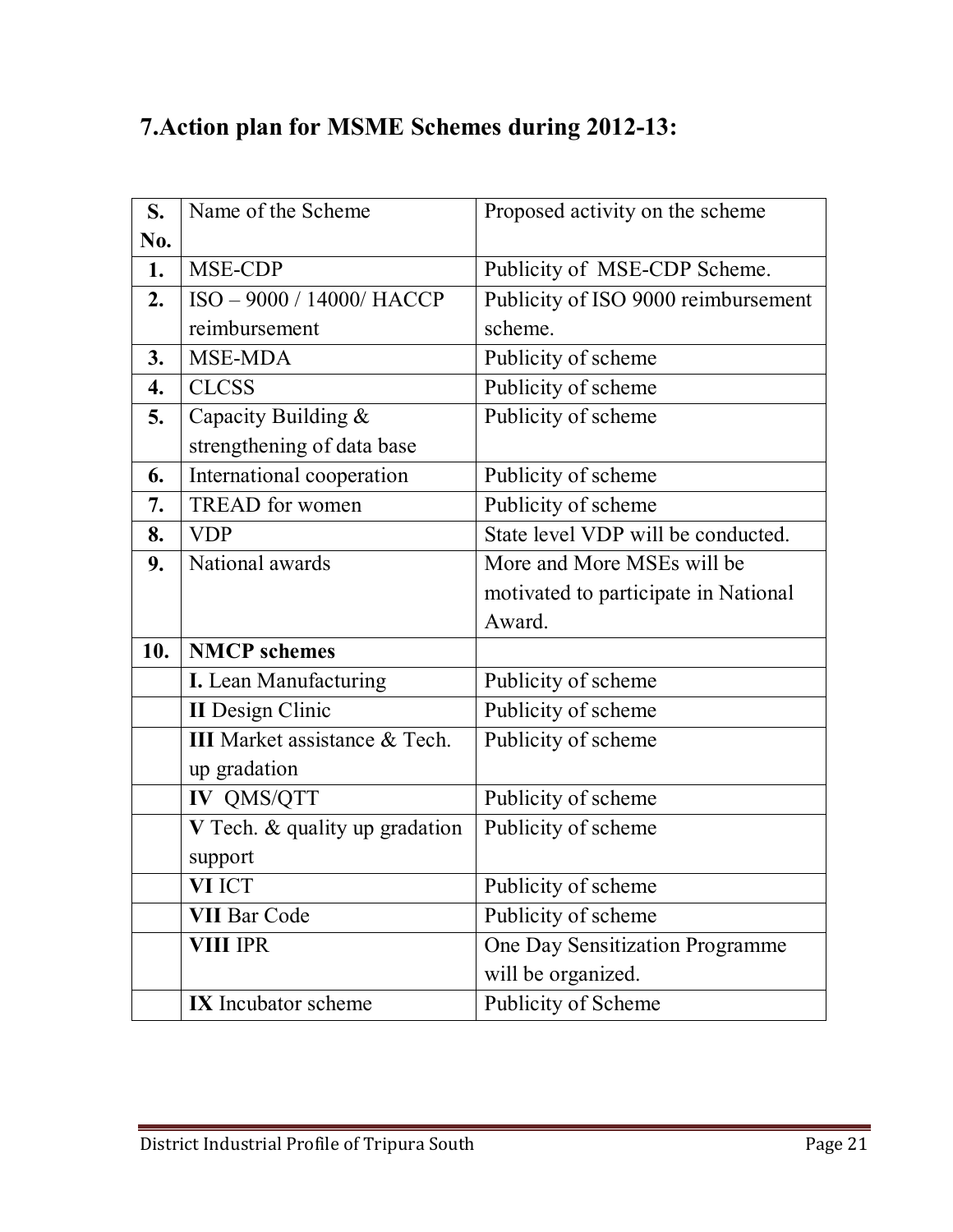# **7.Action plan for MSME Schemes during 2012-13:**

| S.  | Name of the Scheme                   | Proposed activity on the scheme      |
|-----|--------------------------------------|--------------------------------------|
| No. |                                      |                                      |
| 1.  | MSE-CDP                              | Publicity of MSE-CDP Scheme.         |
| 2.  | ISO-9000 / 14000/ HACCP              | Publicity of ISO 9000 reimbursement  |
|     | reimbursement                        | scheme.                              |
| 3.  | MSE-MDA                              | Publicity of scheme                  |
| 4.  | <b>CLCSS</b>                         | Publicity of scheme                  |
| 5.  | Capacity Building &                  | Publicity of scheme                  |
|     | strengthening of data base           |                                      |
| 6.  | International cooperation            | Publicity of scheme                  |
| 7.  | <b>TREAD</b> for women               | Publicity of scheme                  |
| 8.  | <b>VDP</b>                           | State level VDP will be conducted.   |
| 9.  | National awards                      | More and More MSEs will be           |
|     |                                      | motivated to participate in National |
|     |                                      | Award.                               |
| 10. | <b>NMCP</b> schemes                  |                                      |
|     | <b>I.</b> Lean Manufacturing         | Publicity of scheme                  |
|     | <b>II</b> Design Clinic              | Publicity of scheme                  |
|     | <b>III</b> Market assistance & Tech. | Publicity of scheme                  |
|     | up gradation                         |                                      |
|     | IV QMS/QTT                           | Publicity of scheme                  |
|     | V Tech. & quality up gradation       | Publicity of scheme                  |
|     | support                              |                                      |
|     |                                      |                                      |
|     | VI ICT                               | Publicity of scheme                  |
|     | <b>VII Bar Code</b>                  | Publicity of scheme                  |
|     | <b>VIII IPR</b>                      | One Day Sensitization Programme      |
|     |                                      | will be organized.                   |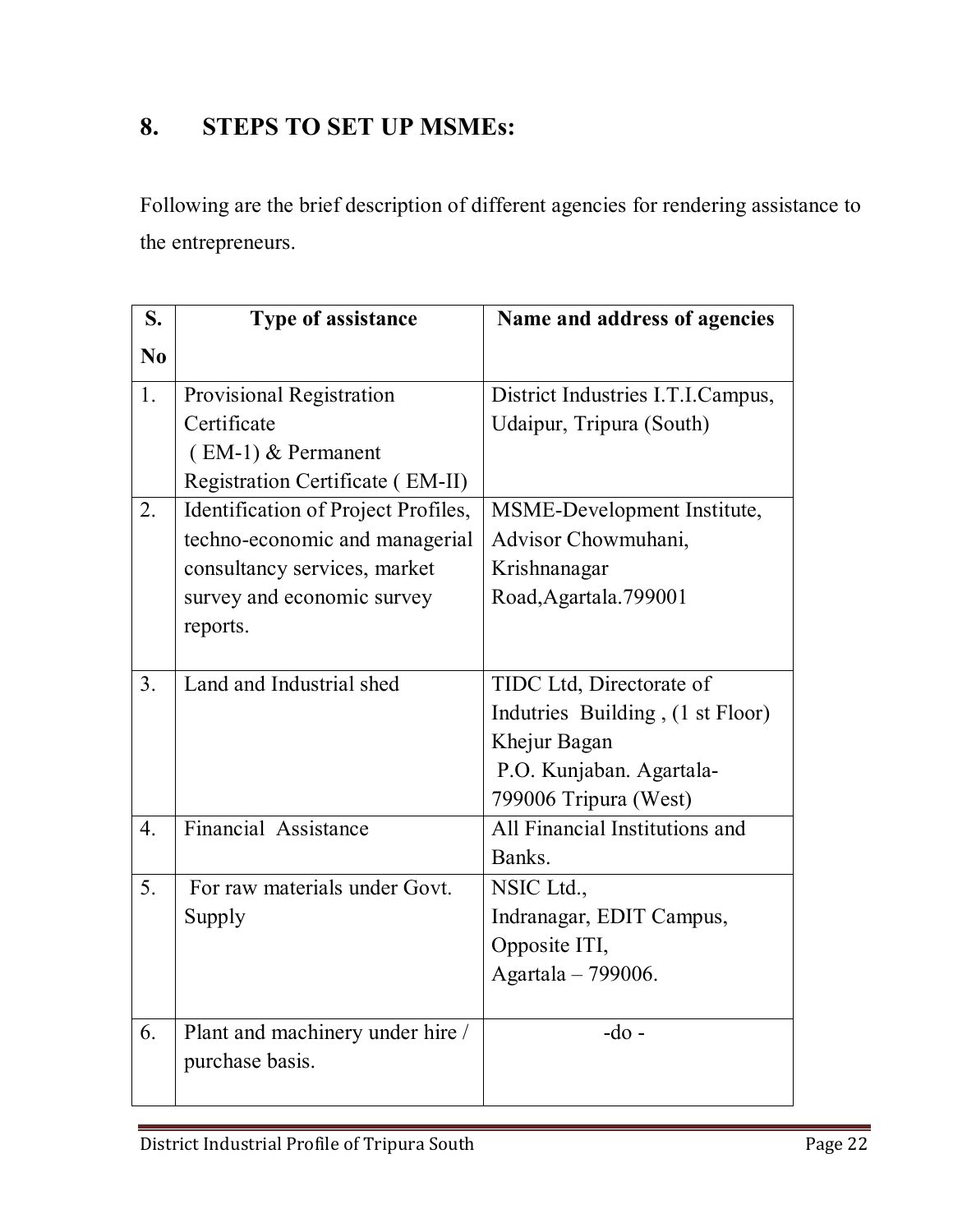# **8. STEPS TO SET UP MSMEs:**

Following are the brief description of different agencies for rendering assistance to the entrepreneurs.

| S.               | <b>Type of assistance</b>           | Name and address of agencies      |
|------------------|-------------------------------------|-----------------------------------|
| $\bf No$         |                                     |                                   |
| 1.               | Provisional Registration            | District Industries I.T.I.Campus, |
|                  | Certificate                         | Udaipur, Tripura (South)          |
|                  | (EM-1) & Permanent                  |                                   |
|                  | Registration Certificate (EM-II)    |                                   |
| 2.               | Identification of Project Profiles, | MSME-Development Institute,       |
|                  | techno-economic and managerial      | Advisor Chowmuhani,               |
|                  | consultancy services, market        | Krishnanagar                      |
|                  | survey and economic survey          | Road, Agartala. 799001            |
|                  | reports.                            |                                   |
|                  |                                     |                                   |
| 3.               | Land and Industrial shed            | TIDC Ltd, Directorate of          |
|                  |                                     | Indutries Building, (1 st Floor)  |
|                  |                                     | Khejur Bagan                      |
|                  |                                     | P.O. Kunjaban. Agartala-          |
|                  |                                     | 799006 Tripura (West)             |
| $\overline{4}$ . | Financial Assistance                | All Financial Institutions and    |
|                  |                                     | Banks.                            |
| 5.               | For raw materials under Govt.       | NSIC Ltd.,                        |
|                  | Supply                              | Indranagar, EDIT Campus,          |
|                  |                                     | Opposite ITI,                     |
|                  |                                     | Agartala - 799006.                |
|                  |                                     |                                   |
| 6.               | Plant and machinery under hire /    | $-do$ -                           |
|                  | purchase basis.                     |                                   |
|                  |                                     |                                   |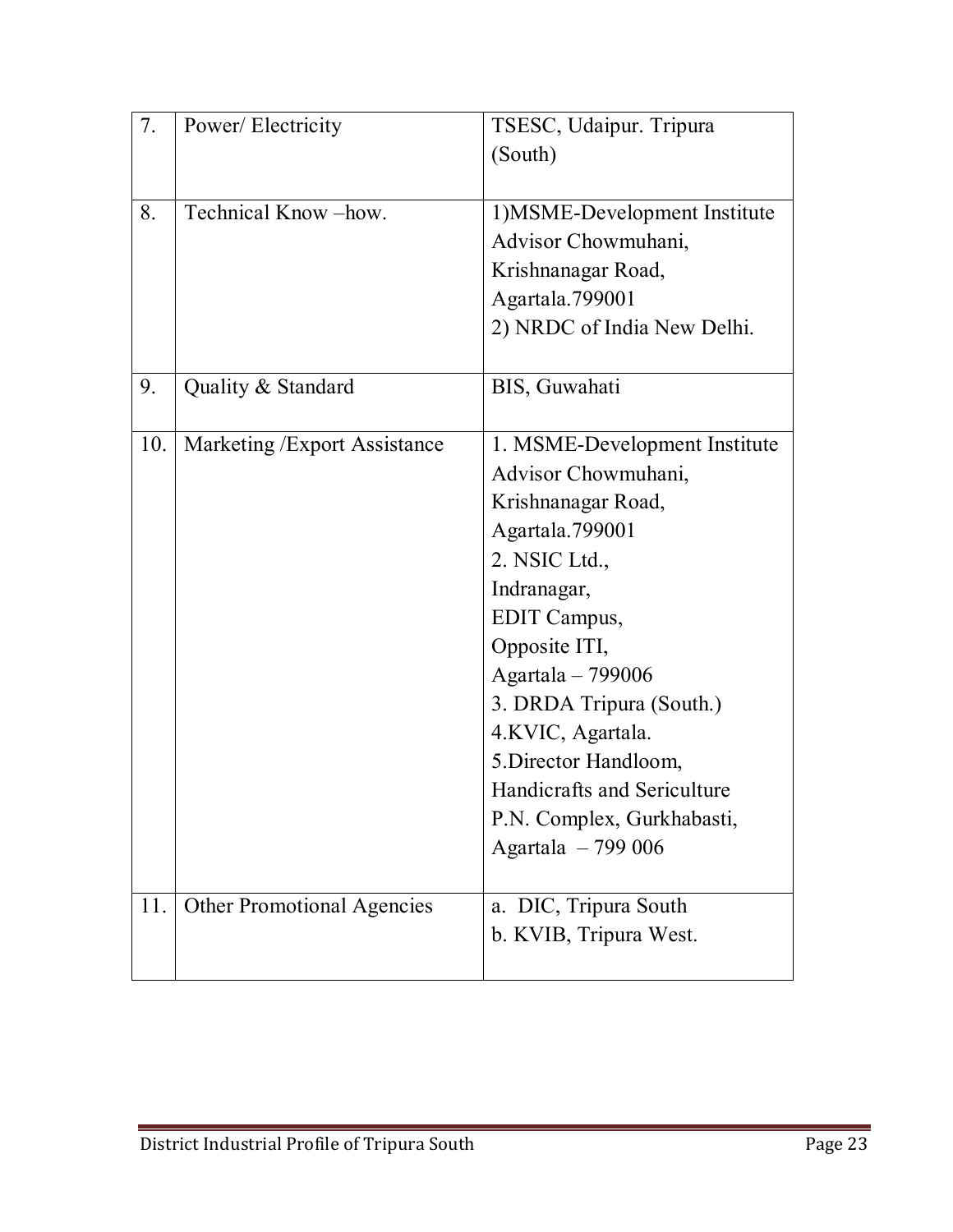| 7.  | Power/Electricity                 | TSESC, Udaipur. Tripura<br>(South)                                                                                                                                                                                                                                                                                                               |
|-----|-----------------------------------|--------------------------------------------------------------------------------------------------------------------------------------------------------------------------------------------------------------------------------------------------------------------------------------------------------------------------------------------------|
| 8.  | Technical Know-how.               | 1) MSME-Development Institute<br>Advisor Chowmuhani,<br>Krishnanagar Road,<br>Agartala.799001<br>2) NRDC of India New Delhi.                                                                                                                                                                                                                     |
| 9.  | Quality & Standard                | BIS, Guwahati                                                                                                                                                                                                                                                                                                                                    |
| 10. | Marketing / Export Assistance     | 1. MSME-Development Institute<br>Advisor Chowmuhani,<br>Krishnanagar Road,<br>Agartala.799001<br>2. NSIC Ltd.,<br>Indranagar,<br>EDIT Campus,<br>Opposite ITI,<br>Agartala - 799006<br>3. DRDA Tripura (South.)<br>4.KVIC, Agartala.<br>5. Director Handloom,<br>Handicrafts and Sericulture<br>P.N. Complex, Gurkhabasti,<br>Agartala $-799006$ |
| 11. | <b>Other Promotional Agencies</b> | a. DIC, Tripura South<br>b. KVIB, Tripura West.                                                                                                                                                                                                                                                                                                  |